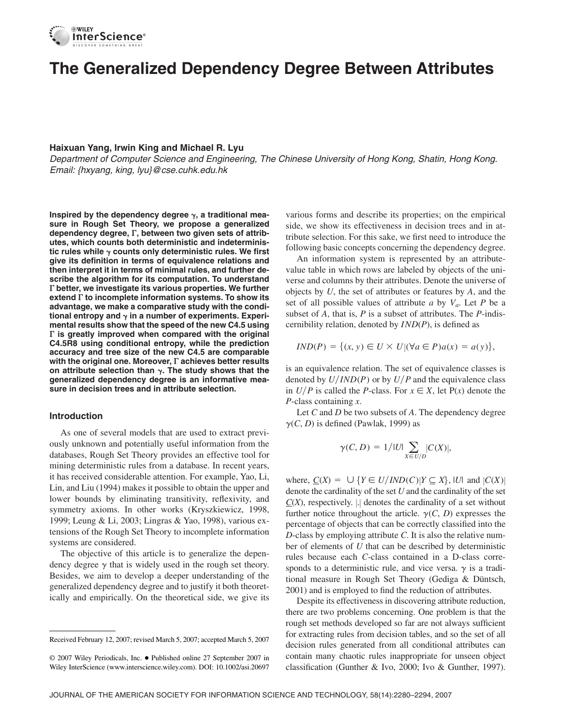

# **The Generalized Dependency Degree Between Attributes**

## **Haixuan Yang, Irwin King and Michael R. Lyu**

*Department of Computer Science and Engineering, The Chinese University of Hong Kong, Shatin, Hong Kong. Email: {hxyang, king, lyu}@cse.cuhk.edu.hk*

**Inspired by the dependency degree , a traditional measure in Rough Set Theory, we propose a generalized dependency degree, -, between two given sets of attributes, which counts both deterministic and indeterminis**tic rules while  $\gamma$  counts only deterministic rules. We first **give its definition in terms of equivalence relations and then interpret it in terms of minimal rules, and further describe the algorithm for its computation. To understand - better, we investigate its various properties. We further extend - to incomplete information systems. To show its advantage, we make a comparative study with the condi**tional entropy and  $\gamma$  in a number of experiments. Experi**mental results show that the speed of the new C4.5 using - is greatly improved when compared with the original C4.5R8 using conditional entropy, while the prediction accuracy and tree size of the new C4.5 are comparable** with the original one. Moreover,  $\Gamma$  achieves better results **on attribute selection than . The study shows that the generalized dependency degree is an informative measure in decision trees and in attribute selection.**

### **Introduction**

As one of several models that are used to extract previously unknown and potentially useful information from the databases, Rough Set Theory provides an effective tool for mining deterministic rules from a database. In recent years, it has received considerable attention. For example, Yao, Li, Lin, and Liu (1994) makes it possible to obtain the upper and lower bounds by eliminating transitivity, reflexivity, and symmetry axioms. In other works (Kryszkiewicz, 1998, 1999; Leung & Li, 2003; Lingras & Yao, 1998), various extensions of the Rough Set Theory to incomplete information systems are considered.

The objective of this article is to generalize the dependency degree  $\gamma$  that is widely used in the rough set theory. Besides, we aim to develop a deeper understanding of the generalized dependency degree and to justify it both theoretically and empirically. On the theoretical side, we give its various forms and describe its properties; on the empirical side, we show its effectiveness in decision trees and in attribute selection. For this sake, we first need to introduce the following basic concepts concerning the dependency degree.

An information system is represented by an attributevalue table in which rows are labeled by objects of the universe and columns by their attributes. Denote the universe of objects by *U*, the set of attributes or features by *A*, and the set of all possible values of attribute *a* by *Va*. Let *P* be a subset of *A*, that is, *P* is a subset of attributes. The *P*-indiscernibility relation, denoted by *IND*(*P*), is defined as

$$
IND(P) = \{(x, y) \in U \times U | (\forall a \in P)a(x) = a(y) \},
$$

is an equivalence relation. The set of equivalence classes is denoted by  $U/IND(P)$  or by  $U/P$  and the equivalence class in  $U/P$  is called the *P*-class. For  $x \in X$ , let  $P(x)$  denote the *P*-class containing *x*.

Let *C* and *D* be two subsets of *A*. The dependency degree  $\gamma$ (*C*, *D*) is defined (Pawlak, 1999) as

$$
\gamma(C, D) = 1/|U| \sum_{X \in U/D} |C(X)|,
$$

where,  $C(X) = \bigcup \{ Y \in U / \text{IND}(C) | Y \subseteq X \}, |U| \text{ and } |C(X)|$ denote the cardinality of the set *U* and the cardinality of the set  $C(X)$ , respectively.  $|.|$  denotes the cardinality of a set without further notice throughout the article.  $\gamma(C, D)$  expresses the percentage of objects that can be correctly classified into the *D*-class by employing attribute *C*. It is also the relative number of elements of *U* that can be described by deterministic rules because each *C*-class contained in a D-class corresponds to a deterministic rule, and vice versa.  $\gamma$  is a traditional measure in Rough Set Theory (Gediga & Düntsch, 2001) and is employed to find the reduction of attributes.

Despite its effectiveness in discovering attribute reduction, there are two problems concerning. One problem is that the rough set methods developed so far are not always sufficient for extracting rules from decision tables, and so the set of all decision rules generated from all conditional attributes can contain many chaotic rules inappropriate for unseen object classification (Gunther & Ivo, 2000; Ivo & Gunther, 1997).

Received February 12, 2007; revised March 5, 2007; accepted March 5, 2007

<sup>© 2007</sup> Wiley Periodicals, Inc. • Published online 27 September 2007 in Wiley InterScience (www.interscience.wiley.com). DOI: 10.1002/asi.20697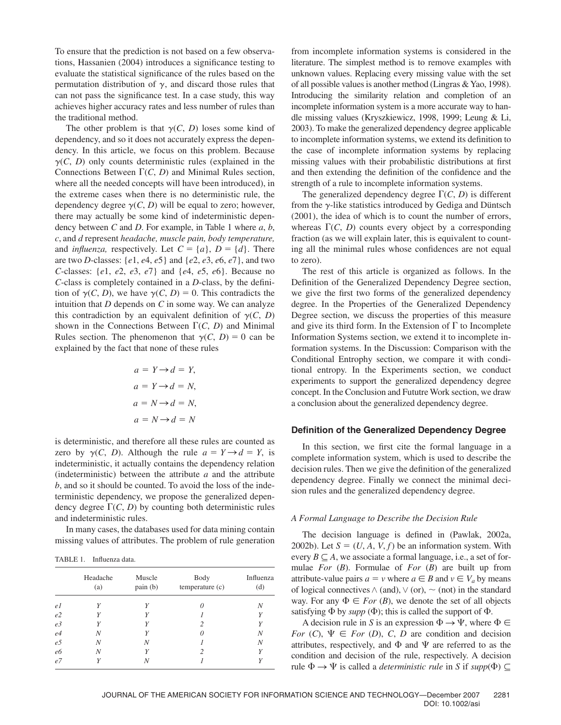To ensure that the prediction is not based on a few observations, Hassanien (2004) introduces a significance testing to evaluate the statistical significance of the rules based on the permutation distribution of  $\gamma$ , and discard those rules that can not pass the significance test. In a case study, this way achieves higher accuracy rates and less number of rules than the traditional method.

The other problem is that  $\gamma(C, D)$  loses some kind of dependency, and so it does not accurately express the dependency. In this article, we focus on this problem. Because  $\gamma(C, D)$  only counts deterministic rules (explained in the Connections Between  $\Gamma(C, D)$  and Minimal Rules section, where all the needed concepts will have been introduced), in the extreme cases when there is no deterministic rule, the dependency degree  $\gamma(C, D)$  will be equal to zero; however, there may actually be some kind of indeterministic dependency between *C* and *D*. For example, in Table 1 where *a*, *b*, *c*, and *d* represent *headache, muscle pain, body temperature,* and *influenza*, respectively. Let  $C = \{a\}$ ,  $D = \{d\}$ . There are two *D*-classes: {*e*1, *e*4, *e*5} and {*e*2, *e*3, *e*6, *e*7}, and two *C*-classes: {*e*1, *e*2, *e*3, *e*7} and {*e*4, *e*5, *e*6}. Because no *C*-class is completely contained in a *D*-class, by the definition of  $\gamma$ (*C*, *D*), we have  $\gamma$ (*C*, *D*) = 0. This contradicts the intuition that *D* depends on *C* in some way. We can analyze this contradiction by an equivalent definition of  $\gamma$ (*C*, *D*) shown in the Connections Between  $\Gamma(C, D)$  and Minimal Rules section. The phenomenon that  $\gamma(C, D) = 0$  can be explained by the fact that none of these rules

$$
a = Y \rightarrow d = Y,
$$
  
\n
$$
a = Y \rightarrow d = N,
$$
  
\n
$$
a = N \rightarrow d = N,
$$
  
\n
$$
a = N \rightarrow d = N
$$

is deterministic, and therefore all these rules are counted as zero by  $\gamma$ (*C*, *D*). Although the rule  $a = Y \rightarrow d = Y$ , is indeterministic, it actually contains the dependency relation (indeterministic) between the attribute *a* and the attribute *b*, and so it should be counted. To avoid the loss of the indeterministic dependency, we propose the generalized dependency degree  $\Gamma(C, D)$  by counting both deterministic rules and indeterministic rules.

In many cases, the databases used for data mining contain missing values of attributes. The problem of rule generation

| Influenza data. |
|-----------------|
|                 |

|                | Headache<br>(a) | Muscle<br>pain (b) | Body<br>temperature (c) | Influenza<br>(d) |
|----------------|-----------------|--------------------|-------------------------|------------------|
| e1             |                 | Υ                  |                         | Ν                |
| e2             |                 | V                  |                         | Υ                |
| e <sub>3</sub> |                 |                    | 2                       | Υ                |
| e4             | N               | Y                  |                         | Ν                |
| e <sub>5</sub> | N               | N                  |                         | Ν                |
| e6             | N               |                    | 2                       | Y                |
| e <sub>7</sub> |                 |                    |                         | Υ                |

from incomplete information systems is considered in the literature. The simplest method is to remove examples with unknown values. Replacing every missing value with the set of all possible values is another method (Lingras & Yao, 1998). Introducing the similarity relation and completion of an incomplete information system is a more accurate way to handle missing values (Kryszkiewicz, 1998, 1999; Leung & Li, 2003). To make the generalized dependency degree applicable to incomplete information systems, we extend its definition to the case of incomplete information systems by replacing missing values with their probabilistic distributions at first and then extending the definition of the confidence and the strength of a rule to incomplete information systems.

The generalized dependency degree  $\Gamma(C, D)$  is different from the  $\gamma$ -like statistics introduced by Gediga and Düntsch (2001), the idea of which is to count the number of errors, whereas  $\Gamma(C, D)$  counts every object by a corresponding fraction (as we will explain later, this is equivalent to counting all the minimal rules whose confidences are not equal to zero).

The rest of this article is organized as follows. In the Definition of the Generalized Dependency Degree section, we give the first two forms of the generalized dependency degree. In the Properties of the Generalized Dependency Degree section, we discuss the properties of this measure and give its third form. In the Extension of  $\Gamma$  to Incomplete Information Systems section, we extend it to incomplete information systems. In the Discussion: Comparison with the Conditional Entrophy section, we compare it with conditional entropy. In the Experiments section, we conduct experiments to support the generalized dependency degree concept. In the Conclusion and Fututre Work section, we draw a conclusion about the generalized dependency degree.

#### **Definition of the Generalized Dependency Degree**

In this section, we first cite the formal language in a complete information system, which is used to describe the decision rules. Then we give the definition of the generalized dependency degree. Finally we connect the minimal decision rules and the generalized dependency degree.

### *A Formal Language to Describe the Decision Rule*

The decision language is defined in (Pawlak, 2002a, 2002b). Let  $S = (U, A, V, f)$  be an information system. With every  $B \subseteq A$ , we associate a formal language, i.e., a set of formulae *For* (*B*). Formulae of *For* (*B*) are built up from attribute-value pairs  $a = v$  where  $a \in B$  and  $v \in V_a$  by means of logical connectives  $\wedge$  (and),  $\vee$  (or),  $\sim$  (not) in the standard way. For any  $\Phi \in For(B)$ , we denote the set of all objects satisfying  $\Phi$  by *supp* ( $\Phi$ ); this is called the support of  $\Phi$ .

A decision rule in *S* is an expression  $\Phi \to \Psi$ , where  $\Phi \in$ *For* (*C*),  $\Psi \in For$  (*D*), *C*, *D* are condition and decision attributes, respectively, and  $\Phi$  and  $\Psi$  are referred to as the condition and decision of the rule, respectively. A decision rule  $\Phi \to \Psi$  is called a *deterministic rule* in *S* if  $supp(\Phi) \subseteq$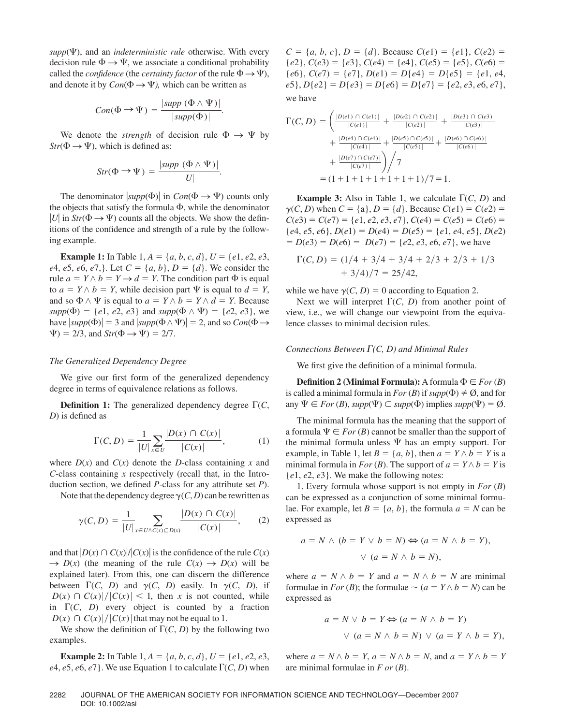$supp(\Psi)$ , and an *indeterministic rule* otherwise. With every decision rule  $\Phi \to \Psi$ , we associate a conditional probability called the *confidence* (the *certainty factor* of the rule  $\Phi \rightarrow \Psi$ ), and denote it by  $Con(\Phi \to \Psi)$ , which can be written as

$$
Con(\Phi \to \Psi) = \frac{|supp (\Phi \wedge \Psi)|}{|supp(\Phi)|}.
$$

We denote the *strength* of decision rule  $\Phi \rightarrow \Psi$  by  $Str(\Phi \to \Psi)$ , which is defined as:

$$
Str(\Phi \to \Psi) = \frac{|supp (\Phi \wedge \Psi)|}{|U|}.
$$

The denominator  $|supp(\Phi)|$  in  $Con(\Phi \to \Psi)$  counts only the objects that satisfy the formula  $\Phi$ , while the denominator *V* in *Str*( $\Phi \rightarrow \Psi$ ) counts all the objects. We show the definitions of the confidence and strength of a rule by the following example.

**Example 1:** In Table 1,  $A = \{a, b, c, d\}, U = \{e1, e2, e3,$ *e*4, *e*5, *e*6, *e*7, }. Let  $C = \{a, b\}$ ,  $D = \{d\}$ . We consider the rule  $a = Y \wedge b = Y \rightarrow d = Y$ . The condition part  $\Phi$  is equal to  $a = Y \wedge b = Y$ , while decision part  $\Psi$  is equal to  $d = Y$ , and so  $\Phi \wedge \Psi$  is equal to  $a = Y \wedge b = Y \wedge d = Y$ . Because  $supp(\Phi) = \{e1, e2, e3\}$  and  $supp(\Phi \wedge \Psi) = \{e2, e3\}$ , we have  $|supp(\Phi)| = 3$  and  $|supp(\Phi \wedge \Psi)| = 2$ , and so  $Con(\Phi \rightarrow$  $\Psi$ ) = 2/3, and *Str*( $\Phi \rightarrow \Psi$ ) = 2/7.

#### *The Generalized Dependency Degree*

We give our first form of the generalized dependency degree in terms of equivalence relations as follows.

**Definition 1:** The generalized dependency degree  $\Gamma(C)$ , *D*) is defined as

$$
\Gamma(C, D) = \frac{1}{|U|} \sum_{x \in U} \frac{|D(x) \cap C(x)|}{|C(x)|},
$$
 (1)

where  $D(x)$  and  $C(x)$  denote the *D*-class containing *x* and *C*-class containing *x* respectively (recall that, in the Introduction section, we defined *P*-class for any attribute set *P*).

Note that the dependency degree  $\gamma(C, D)$  can be rewritten as

$$
\gamma(C, D) = \frac{1}{|U|_{x \in U \wedge C(x) \subseteq D(x)}} \frac{|D(x) \cap C(x)|}{|C(x)|}, \qquad (2)
$$

and that  $|D(x) \cap C(x)|/|C(x)|$  is the confidence of the rule  $C(x)$  $\rightarrow$  *D*(*x*) (the meaning of the rule *C*(*x*)  $\rightarrow$  *D*(*x*) will be explained later). From this, one can discern the difference between  $\Gamma(C, D)$  and  $\gamma(C, D)$  easily. In  $\gamma(C, D)$ , if  $|D(x) \cap C(x)|/|C(x)| < 1$ , then *x* is not counted, while in  $\Gamma(C, D)$  every object is counted by a fraction  $|D(x) \cap C(x)|/|C(x)|$  that may not be equal to 1.

We show the definition of  $\Gamma(C, D)$  by the following two examples.

**Example 2:** In Table 1,  $A = \{a, b, c, d\}, U = \{e1, e2, e3, e4\}$  $e^4$ ,  $e^5$ ,  $e^6$ ,  $e^7$ }. We use Equation 1 to calculate  $\Gamma(C, D)$  when

 $C = \{a, b, c\}, D = \{d\}.$  Because  $C(e1) = \{e1\}, C(e2) =$  ${e^2}, C(e^3) = {e^3}, C(e^4) = {e^4}, C(e^5) = {e^5}, C(e^6) =$  ${e6}, C(e7) = {e7}, D(e1) = D{e4} = D{e5} = {e1, e4}$  $P{B}$ ,  $D{e2} = D{e3} = D{e6} = D{e7} = {e2, e3, e6, e7}$ we have

$$
\Gamma(C, D) = \left(\frac{|D(e1) \cap C(e1)|}{|C(e1)|} + \frac{|D(e2) \cap C(e2)|}{|C(e2)|} + \frac{|D(e3) \cap C(e3)|}{|C(e3)|} + \frac{|D(e4) \cap C(e4)|}{|C(e4)|} + \frac{|D(e5) \cap C(e5)|}{|C(e5)|} + \frac{|D(e6) \cap C(e6)|}{|C(e7)|}\right)
$$
  
=  $(1 + 1 + 1 + 1 + 1 + 1 + 1) / 7 = 1.$ 

**Example 3:** Also in Table 1, we calculate  $\Gamma(C, D)$  and  $\gamma(C, D)$  when  $C = \{a\}, D = \{d\}.$  Because  $C(e1) = C(e2) =$  $C(e3) = C(e7) = \{e1, e2, e3, e7\}, C(e4) = C(e5) = C(e6) =$  ${e^4, e^5, e^6}, D(e^1) = D(e^4) = D(e^5) = {e^1, e^4, e^5}, D(e^2)$  $D(e3) = D(e6) = D(e7) = \{e2, e3, e6, e7\}$ , we have

$$
\Gamma(C, D) = (1/4 + 3/4 + 3/4 + 2/3 + 2/3 + 1/3 + 3/4)/7 = 25/42,
$$

while we have  $\gamma(C, D) = 0$  according to Equation 2.

Next we will interpret  $\Gamma(C, D)$  from another point of view, i.e., we will change our viewpoint from the equivalence classes to minimal decision rules.

#### *Connections Between*  $\Gamma(C, D)$  and Minimal Rules

We first give the definition of a minimal formula.

**Definition 2 (Minimal Formula):** A formula  $\Phi \in For(B)$ is called a minimal formula in *For* (*B*) if  $supp(\Phi) \neq \emptyset$ , and for any  $\Psi \in For(B), supp(\Psi) \subset supp(\Phi)$  implies  $supp(\Psi) = \emptyset$ .

The minimal formula has the meaning that the support of a formula  $\Psi \in For(B)$  cannot be smaller than the support of the minimal formula unless  $\Psi$  has an empty support. For example, in Table 1, let  $B = \{a, b\}$ , then  $a = Y \wedge b = Y$  is a minimal formula in *For* (*B*). The support of  $a = Y \wedge b = Y$  is {*e*1, *e*2, *e*3}. We make the following notes:

1. Every formula whose support is not empty in *For* (*B*) can be expressed as a conjunction of some minimal formulae. For example, let  $B = \{a, b\}$ , the formula  $a = N$  can be expressed as

$$
a = N \wedge (b = Y \vee b = N) \Leftrightarrow (a = N \wedge b = Y),
$$
  

$$
\vee (a = N \wedge b = N),
$$

where  $a = N \wedge b = Y$  and  $a = N \wedge b = N$  are minimal formulae in *For* (*B*); the formulae  $\sim$  (*a* = *Y*  $\land$  *b* = *N*) can be expressed as

$$
a = N \lor b = Y \Leftrightarrow (a = N \land b = Y)
$$
  
 
$$
\lor (a = N \land b = N) \lor (a = Y \land b = Y),
$$

where  $a = N \wedge b = Y$ ,  $a = N \wedge b = N$ , and  $a = Y \wedge b = Y$ are minimal formulae in *F or* (*B*).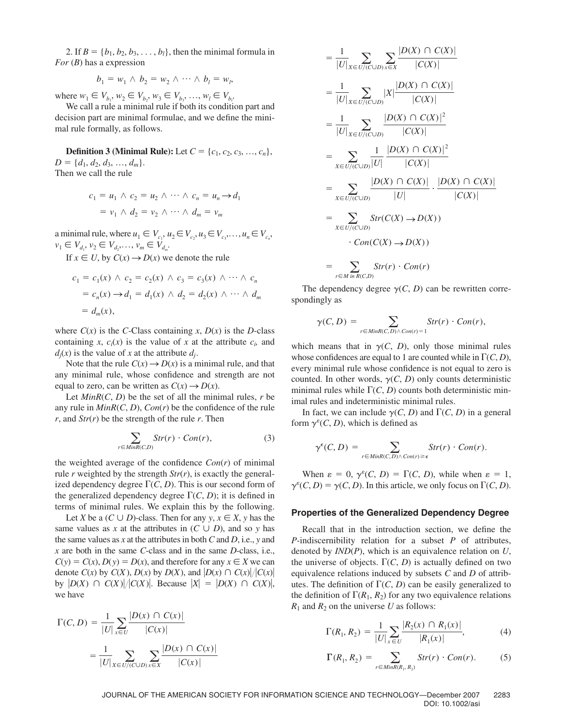2. If  $B = \{b_1, b_2, b_3, \ldots, b_l\}$ , then the minimal formula in *For* (*B*) has a expression

$$
b_1 = w_1 \wedge b_2 = w_2 \wedge \cdots \wedge b_l = w_l,
$$

where  $w_1 \in V_{b_1}, w_2 \in V_{b_2}, w_3 \in V_{b_3}, ..., w_l \in V_{b_l}$ 

We call a rule a minimal rule if both its condition part and decision part are minimal formulae, and we define the minimal rule formally, as follows.

**Definition 3 (Minimal Rule):** Let  $C = \{c_1, c_2, c_3, ..., c_n\}$ ,  $D = \{d_1, d_2, d_3, ..., d_m\}.$ Then we call the rule

$$
c_1 = u_1 \wedge c_2 = u_2 \wedge \cdots \wedge c_n = u_n \rightarrow d_1
$$

$$
= v_1 \wedge d_2 = v_2 \wedge \cdots \wedge d_m = v_m
$$

a minimal rule, where  $u_1 \in V_{c_1}, u_2 \in V_{c_2}, u_3 \in V_{c_3}, \dots, u_n \in V_{c_n}$ ,  $v_1 \in V_{d_1}, v_2 \in V_{d_2}, \ldots, v_m \in V_{d_m}.$ 

If  $x \in U$ , by  $C(x) \rightarrow D(x)$  we denote the rule

$$
c_1 = c_1(x) \land c_2 = c_2(x) \land c_3 = c_3(x) \land \dots \land c_n
$$
  
=  $c_n(x) \rightarrow d_1 = d_1(x) \land d_2 = d_2(x) \land \dots \land d_m$   
=  $d_m(x)$ ,

where  $C(x)$  is the *C*-Class containing *x*,  $D(x)$  is the *D*-class containing *x*,  $c_i(x)$  is the value of *x* at the attribute  $c_i$ , and  $d_i(x)$  is the value of *x* at the attribute  $d_i$ .

Note that the rule  $C(x) \rightarrow D(x)$  is a minimal rule, and that any minimal rule, whose confidence and strength are not equal to zero, can be written as  $C(x) \rightarrow D(x)$ .

Let  $MinR(C, D)$  be the set of all the minimal rules,  $r$  be any rule in *MinR*(*C*, *D*), *Con*(*r*) be the confidence of the rule *r*, and *Str*(*r*) be the strength of the rule *r*. Then

$$
\sum_{r \in MinR(C,D)} Str(r) \cdot Con(r),\tag{3}
$$

the weighted average of the confidence *Con*(*r*) of minimal rule *r* weighted by the strength  $Str(r)$ , is exactly the generalized dependency degree  $\Gamma(C, D)$ . This is our second form of the generalized dependency degree  $\Gamma(C, D)$ ; it is defined in terms of minimal rules. We explain this by the following.

Let *X* be a  $(C \cup D)$ -class. Then for any  $y, x \in X$ , *y* has the same values as x at the attributes in  $(C \cup D)$ , and so y has the same values as *x* at the attributes in both *C* and *D*, i.e., *y* and *x* are both in the same *C*-class and in the same *D*-class, i.e.,  $C(y) = C(x)$ ,  $D(y) = D(x)$ , and therefore for any  $x \in X$  we can denote  $C(x)$  by  $C(X)$ ,  $D(x)$  by  $D(X)$ , and  $|D(x) \cap C(x)|/|C(x)|$ by  $|D(X) \cap C(X)|/|C(X)|$ . Because  $|X| = |D(X) \cap C(X)|$ , we have

$$
\Gamma(C, D) = \frac{1}{|U|} \sum_{x \in U} \frac{|D(x) \cap C(x)|}{|C(x)|}
$$

$$
= \frac{1}{|U|} \sum_{x \in U/(C \cup D)} \sum_{x \in X} \frac{|D(x) \cap C(x)|}{|C(x)|}
$$

$$
= \frac{1}{|U|_{X \in U/(C \cup D)} \times \in X} \sum_{x \in X} \frac{|D(X) \cap C(X)|}{|C(X)|}
$$
  
\n
$$
= \frac{1}{|U|_{X \in U/(C \cup D)}} |X| \frac{|D(X) \cap C(X)|}{|C(X)|}
$$
  
\n
$$
= \frac{1}{|U|_{X \in U/(C \cup D)}} \sum_{x \in U/(C \cup D)} \frac{|D(X) \cap C(X)|^2}{|C(X)|}
$$
  
\n
$$
= \sum_{x \in U/(C \cup D)} \frac{1}{|U|} \frac{|D(X) \cap C(X)|^2}{|C(X)|}
$$
  
\n
$$
= \sum_{x \in U/(C \cup D)} Str(C(X) \rightarrow D(X))
$$
  
\n
$$
= \sum_{x \in M} Str(C(X) \rightarrow D(X))
$$
  
\n
$$
= \sum_{x \in M} Str(r) \cdot Con(r)
$$

The dependency degree  $\gamma$ (*C*, *D*) can be rewritten correspondingly as

$$
\gamma(C,D) = \sum_{r \in MinR(C,D) \wedge Con(r)=1} Str(r) \cdot Con(r),
$$

which means that in  $\gamma$ (*C*, *D*), only those minimal rules whose confidences are equal to 1 are counted while in  $\Gamma(C, D)$ , every minimal rule whose confidence is not equal to zero is counted. In other words,  $\gamma(C, D)$  only counts deterministic minimal rules while  $\Gamma(C, D)$  counts both deterministic minimal rules and indeterministic minimal rules.

In fact, we can include  $\gamma(C, D)$  and  $\Gamma(C, D)$  in a general form  $\gamma^{\varepsilon}(C, D)$ , which is defined as

$$
\gamma^{\epsilon}(C,D) = \sum_{r \in MinR(C,D) \wedge Con(r) \geq \epsilon} Str(r) \cdot Con(r).
$$

When  $\varepsilon = 0$ ,  $\gamma^{\varepsilon}(C, D) = \Gamma(C, D)$ , while when  $\varepsilon = 1$ ,  $\gamma^{\varepsilon}(C, D) = \gamma(C, D)$ . In this article, we only focus on  $\Gamma(C, D)$ .

# **Properties of the Generalized Dependency Degree**

Recall that in the introduction section, we define the *P*-indiscernibility relation for a subset *P* of attributes, denoted by *IND*(*P*), which is an equivalence relation on *U*, the universe of objects.  $\Gamma(C, D)$  is actually defined on two equivalence relations induced by subsets *C* and *D* of attributes. The definition of  $\Gamma(C, D)$  can be easily generalized to the definition of  $\Gamma(R_1, R_2)$  for any two equivalence relations  $R_1$  and  $R_2$  on the universe U as follows:

$$
\Gamma(R_1, R_2) = \frac{1}{|U|} \sum_{x \in U} \frac{|R_2(x) \cap R_1(x)|}{|R_1(x)|},
$$
(4)

$$
\Gamma(R_1, R_2) = \sum_{r \in MinR(R_1, R_2)} Str(r) \cdot Con(r). \tag{5}
$$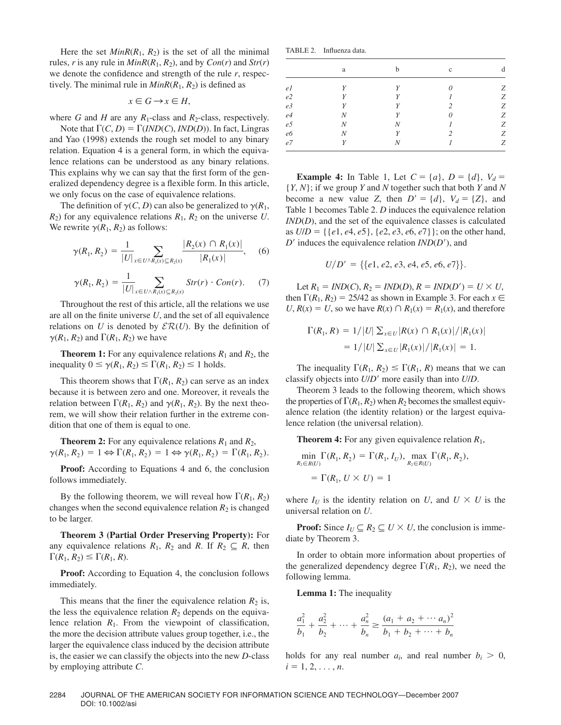Here the set  $MinR(R_1, R_2)$  is the set of all the minimal rules, *r* is any rule in  $MinR(R_1, R_2)$ , and by  $Con(r)$  and  $Str(r)$ we denote the confidence and strength of the rule *r*, respectively. The minimal rule in  $MinR(R_1, R_2)$  is defined as

$$
x \in G \to x \in H
$$

where *G* and *H* are any  $R_1$ -class and  $R_2$ -class, respectively.

Note that  $\Gamma(C, D) = \Gamma(IND(C), IND(D))$ . In fact, Lingras and Yao (1998) extends the rough set model to any binary relation. Equation 4 is a general form, in which the equivalence relations can be understood as any binary relations. This explains why we can say that the first form of the generalized dependency degree is a flexible form. In this article, we only focus on the case of equivalence relations.

The definition of  $\gamma$ (*C*, *D*) can also be generalized to  $\gamma$ (*R*<sub>1</sub>,  $R_2$ ) for any equivalence relations  $R_1$ ,  $R_2$  on the universe *U*. We rewrite  $\gamma(R_1, R_2)$  as follows:

$$
\gamma(R_1, R_2) = \frac{1}{|U|} \sum_{x \in U \wedge R_1(x) \subseteq R_2(x)} \frac{|R_2(x) \cap R_1(x)|}{|R_1(x)|}, \quad (6)
$$

$$
\gamma(R_1, R_2) = \frac{1}{|U|} \sum_{x \in U \wedge R_1(x) \subseteq R_2(x)} Str(r) \cdot Con(r). \tag{7}
$$

Throughout the rest of this article, all the relations we use are all on the finite universe *U*, and the set of all equivalence relations on *U* is denoted by  $\mathcal{ER}(U)$ . By the definition of  $\gamma(R_1, R_2)$  and  $\Gamma(R_1, R_2)$  we have

**Theorem 1:** For any equivalence relations  $R_1$  and  $R_2$ , the inequality  $0 \le \gamma(R_1, R_2) \le \Gamma(R_1, R_2) \le 1$  holds.

This theorem shows that  $\Gamma(R_1, R_2)$  can serve as an index because it is between zero and one. Moreover, it reveals the relation between  $\Gamma(R_1, R_2)$  and  $\gamma(R_1, R_2)$ . By the next theorem, we will show their relation further in the extreme condition that one of them is equal to one.

**Theorem 2:** For any equivalence relations  $R_1$  and  $R_2$ ,  $\gamma(R_1, R_2) = 1 \Leftrightarrow \Gamma(R_1, R_2) = 1 \Leftrightarrow \gamma(R_1, R_2) = \Gamma(R_1, R_2).$ 

**Proof:** According to Equations 4 and 6, the conclusion follows immediately.

By the following theorem, we will reveal how  $\Gamma(R_1, R_2)$ changes when the second equivalence relation  $R_2$  is changed to be larger.

**Theorem 3 (Partial Order Preserving Property):** For any equivalence relations  $R_1$ ,  $R_2$  and  $R$ . If  $R_2 \subseteq R$ , then  $\Gamma(R_1, R_2) \leq \Gamma(R_1, R)$ .

**Proof:** According to Equation 4, the conclusion follows immediately.

This means that the finer the equivalence relation  $R_2$  is, the less the equivalence relation  $R_2$  depends on the equivalence relation *R*1. From the viewpoint of classification, the more the decision attribute values group together, i.e., the larger the equivalence class induced by the decision attribute is, the easier we can classify the objects into the new *D*-class by employing attribute *C*.

TABLE 2. Influenza data.

|                | a                | b                | $\mathbf c$    | d |
|----------------|------------------|------------------|----------------|---|
| e l            | Y                | Y                | 0              | Ζ |
| e2             | Y                | Y                |                | Z |
| e <sub>3</sub> | Y                | Y                | $\mathfrak{D}$ | Ζ |
| e4             | N                | Υ                | 0              | Ζ |
| e <sub>5</sub> | $\boldsymbol{N}$ | $\boldsymbol{N}$ |                | Z |
| e6             | $\boldsymbol{N}$ | Υ                | $\overline{c}$ | Ζ |
| e7             | Y                | N                |                | Z |

**Example 4:** In Table 1, Let  $C = \{a\}$ ,  $D = \{d\}$ ,  $V_d =$ {*Y*, *N*}; if we group *Y* and *N* together such that both *Y* and *N* become a new value *Z*, then  $D' = \{d\}$ ,  $V_d = \{Z\}$ , and Table 1 becomes Table 2. *D* induces the equivalence relation *IND*(*D*), and the set of the equivalence classes is calculated as  $U/D = \{ \{e1, e4, e5\}, \{e2, e3, e6, e7\} \}$ ; on the other hand, *D* induces the equivalence relation *IND*(*D*), and

$$
U/D' = \{ \{e1, e2, e3, e4, e5, e6, e7\} \}.
$$

Let  $R_1 = IND(C), R_2 = IND(D), R = IND(D') = U \times U$ , then  $\Gamma(R_1, R_2) = 25/42$  as shown in Example 3. For each  $x \in$  $U, R(x) = U$ , so we have  $R(x) \cap R_1(x) = R_1(x)$ , and therefore

$$
\Gamma(R_1, R) = 1/|U| \sum_{x \in U} |R(x) \cap R_1(x)| / |R_1(x)|
$$
  
= 1/|U| \sum\_{x \in U} |R\_1(x)| / |R\_1(x)| = 1.

The inequality  $\Gamma(R_1, R_2) \leq \Gamma(R_1, R)$  means that we can classify objects into *U*/*D* more easily than into *U*/*D*.

Theorem 3 leads to the following theorem, which shows the properties of  $\Gamma(R_1, R_2)$  when  $R_2$  becomes the smallest equivalence relation (the identity relation) or the largest equivalence relation (the universal relation).

**Theorem 4:** For any given equivalence relation *R*1,

$$
\min_{R_2 \in R(U)} \Gamma(R_1, R_2) = \Gamma(R_1, I_U), \max_{R_2 \in R(U)} \Gamma(R_1, R_2), \n= \Gamma(R_1, U \times U) = 1
$$

where  $I_U$  is the identity relation on U, and  $U \times U$  is the universal relation on *U*.

**Proof:** Since  $I_U \subseteq R_2 \subseteq U \times U$ , the conclusion is immediate by Theorem 3.

In order to obtain more information about properties of the generalized dependency degree  $\Gamma(R_1, R_2)$ , we need the following lemma.

**Lemma 1:** The inequality

$$
\frac{a_1^2}{b_1} + \frac{a_2^2}{b_2} + \dots + \frac{a_n^2}{b_n} \ge \frac{(a_1 + a_2 + \dots + a_n)^2}{b_1 + b_2 + \dots + b_n}
$$

holds for any real number  $a_i$ , and real number  $b_i > 0$ ,  $i = 1, 2, \ldots, n$ .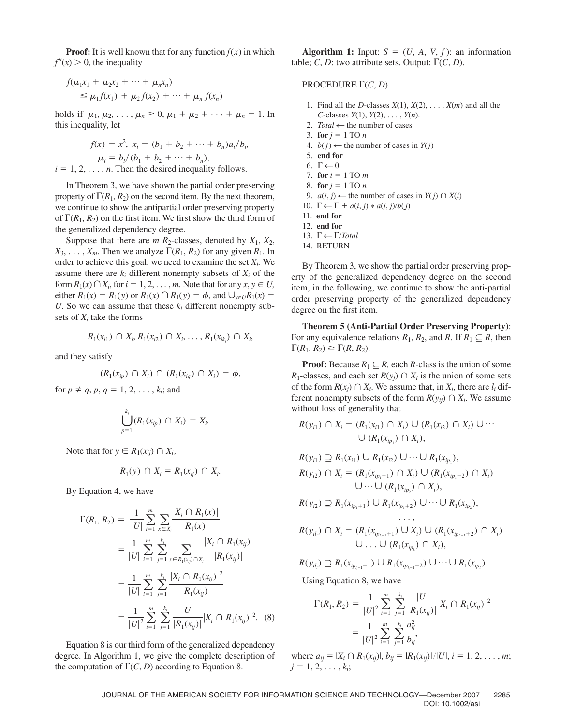**Proof:** It is well known that for any function  $f(x)$  in which  $f''(x) > 0$ , the inequality

$$
f(\mu_1 x_1 + \mu_2 x_2 + \cdots + \mu_n x_n) \le \mu_1 f(x_1) + \mu_2 f(x_2) + \cdots + \mu_n f(x_n)
$$

holds if  $\mu_1, \mu_2, \ldots, \mu_n \ge 0, \mu_1 + \mu_2 + \cdots + \mu_n = 1$ . In this inequality, let

$$
f(x) = x^2, x_i = (b_1 + b_2 + \dots + b_n)a_i/b_i,
$$
  
\n
$$
\mu_i = b_i/(b_1 + b_2 + \dots + b_n),
$$
  
\n $i = 1, 2, \dots, n$ . Then the desired inequality follows.

In Theorem 3, we have shown the partial order preserving property of  $\Gamma(R_1, R_2)$  on the second item. By the next theorem, we continue to show the antipartial order preserving property of  $\Gamma(R_1, R_2)$  on the first item. We first show the third form of the generalized dependency degree.

Suppose that there are  $m R_2$ -classes, denoted by  $X_1, X_2,$  $X_3, \ldots, X_m$ . Then we analyze  $\Gamma(R_1, R_2)$  for any given  $R_1$ . In order to achieve this goal, we need to examine the set *Xi.* We assume there are  $k_i$  different nonempty subsets of  $X_i$  of the form  $R_1(x) \cap X_i$ , for  $i = 1, 2, \ldots, m$ . Note that for any  $x, y \in U$ , either  $R_1(x) = R_1(y)$  or  $R_1(x) \cap R_1(y) = \phi$ , and  $\bigcup_{x \in U} R_1(x) =$ *U*. So we can assume that these  $k_i$  different nonempty subsets of *Xi* take the forms

$$
R_1(x_{i1}) \cap X_i, R_1(x_{i2}) \cap X_i, \ldots, R_1(x_{ik_i}) \cap X_i,
$$

and they satisfy

$$
(R_1(x_{ip}) \cap X_i) \cap (R_1(x_{iq}) \cap X_i) = \phi,
$$

for  $p \neq q, p, q = 1, 2, ..., k_i$ ; and

$$
\bigcup_{p=1}^{k_i} (R_1(x_{ip}) \cap X_i) = X_i.
$$

Note that for  $y \in R_1(x_{ii}) \cap X_i$ ,

$$
R_1(y) \cap X_i = R_1(x_{ij}) \cap X_i.
$$

By Equation 4, we have

$$
\Gamma(R_1, R_2) = \frac{1}{|U|} \sum_{i=1}^{m} \sum_{x \in X_i} \frac{|X_i \cap R_1(x)|}{|R_1(x)|}
$$
  
\n
$$
= \frac{1}{|U|} \sum_{i=1}^{m} \sum_{j=1}^{k_i} \sum_{x \in R_1(x_{ij}) \cap X_i} \frac{|X_i \cap R_1(x_{ij})|}{|R_1(x_{ij})|}
$$
  
\n
$$
= \frac{1}{|U|} \sum_{i=1}^{m} \sum_{j=1}^{k_i} \frac{|X_i \cap R_1(x_{ij})|^2}{|R_1(x_{ij})|}
$$
  
\n
$$
= \frac{1}{|U|^2} \sum_{i=1}^{m} \sum_{j=1}^{k_i} \frac{|U|}{|R_1(x_{ij})|} |X_i \cap R_1(x_{ij})|^2. \tag{8}
$$

Equation 8 is our third form of the generalized dependency degree. In Algorithm 1, we give the complete description of the computation of  $\Gamma(C, D)$  according to Equation 8.

**Algorithm 1:** Input:  $S = (U, A, V, f)$ : an information table; *C*, *D*: two attribute sets. Output:  $\Gamma(C, D)$ .

## PROCEDURE  $\Gamma(C, D)$

- 1. Find all the *D*-classes *X*(1), *X*(2), . . . , *X*(*m*) and all the *C*-classes *Y*(1), *Y*(2), . . . , *Y*(*n*).
- 2. *Total*  $\leftarrow$  the number of cases
- 3. **for**  $j = 1$  TO  $n$
- 4.  $b(j) \leftarrow$  the number of cases in  $Y(j)$
- 5. **end for**
- 6.  $\Gamma \leftarrow 0$
- 7. **for**  $i = 1$  TO  $m$
- 8. **for**  $j = 1$  TO *n*
- 9.  $a(i, j) \leftarrow$  the number of cases in  $Y(j) \cap X(i)$
- 10.  $\Gamma \leftarrow \Gamma + a(i, j) * a(i, j)/b(j)$
- 11. **end for**
- 12. **end for**
- 13.  $\Gamma \leftarrow \Gamma/Total$
- 14. RETURN

By Theorem 3, we show the partial order preserving property of the generalized dependency degree on the second item, in the following, we continue to show the anti-partial order preserving property of the generalized dependency degree on the first item.

**Theorem 5 (Anti-Partial Order Preserving Property)**: For any equivalence relations  $R_1$ ,  $R_2$ , and  $R$ . If  $R_1 \subseteq R$ , then  $\Gamma(R_1, R_2) \geq \Gamma(R, R_2).$ 

**Proof:** Because  $R_1 \subseteq R$ , each *R*-class is the union of some *R*<sub>1</sub>-classes, and each set  $R(y_i) \cap X_i$  is the union of some sets of the form  $R(x_j) \cap X_i$ . We assume that, in  $X_i$ , there are  $l_i$  different nonempty subsets of the form  $R(y_{ij}) \cap X_i$ . We assume without loss of generality that

$$
R(y_{i1}) \cap X_i = (R_1(x_{i1}) \cap X_i) \cup (R_1(x_{i2}) \cap X_i) \cup \cdots
$$
  
 
$$
\cup (R_1(x_{ip_1}) \cap X_i),
$$

$$
R(y_{i1}) \supseteq R_1(x_{i1}) \cup R_1(x_{i2}) \cup \cdots \cup R_1(x_{ip_1}),
$$
  
\n
$$
R(y_{i2}) \cap X_i = (R_1(x_{ip_1+1}) \cap X_i) \cup (R_1(x_{ip_1+2}) \cap X_i)
$$
  
\n
$$
\cup \cdots \cup (R_1(x_{ip_2}) \cap X_i),
$$

$$
R(y_{i2}) \supseteq R_1(x_{ip_1+1}) \cup R_1(x_{ip_1+2}) \cup \cdots \cup R_1(x_{ip_2}),
$$

$$
R(y_{il_i}) \cap X_i = (R_1(x_{ip_{l_i-1}+1}) \cup X_i) \cup (R_1(x_{ip_{l_i-1}+2}) \cap X_i)
$$
  
 
$$
\cup \ldots \cup (R_1(x_{ip_{l_i}}) \cap X_i),
$$

. . . ,

$$
R(y_{il_i}) \supseteq R_1(x_{ip_{l-1}+1}) \cup R_1(x_{ip_{l-1}+2}) \cup \cdots \cup R_1(x_{ip_{l_i}}).
$$

Using Equation 8, we have

$$
\Gamma(R_1, R_2) = \frac{1}{|U|^2} \sum_{i=1}^m \sum_{j=1}^{k_i} \frac{|U|}{|R_1(x_{ij})|} |X_i \cap R_1(x_{ij})|^2
$$
  
= 
$$
\frac{1}{|U|^2} \sum_{i=1}^m \sum_{j=1}^{k_i} \frac{a_{ij}^2}{b_{ij}},
$$

where  $a_{ij} = |X_i \cap R_1(x_{ij})|$ ,  $b_{ij} = |R_1(x_{ij})|/|U|$ ,  $i = 1, 2, ..., m$ ;  $j = 1, 2, \ldots, k_i;$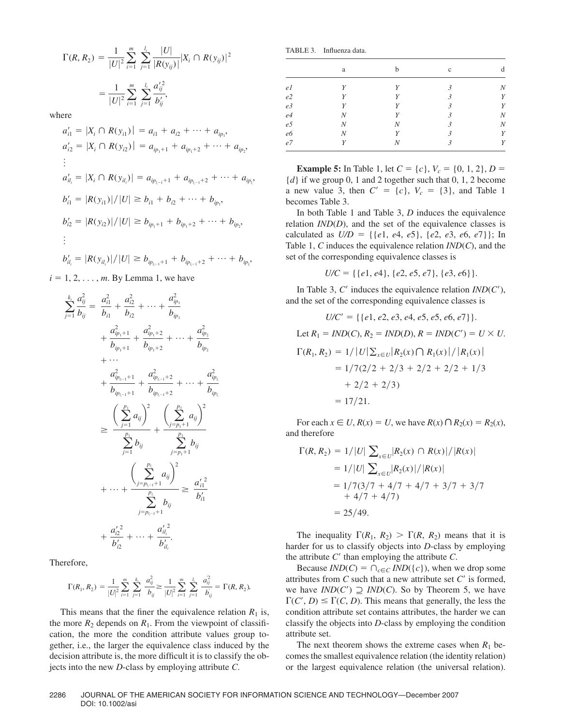$$
\Gamma(R, R_2) = \frac{1}{|U|^2} \sum_{i=1}^m \sum_{j=1}^{l_i} \frac{|U|}{|R(y_{ij})|} |X_i \cap R(y_{ij})|^2
$$

$$
= \frac{1}{|U|^2} \sum_{i=1}^m \sum_{j=1}^{l_i} \frac{a_{ij}^{\prime 2}}{b_{ij}^{\prime 2}},
$$

where

$$
a'_{i1} = |X_i \cap R(y_{i1})| = a_{i1} + a_{i2} + \dots + a_{ip_i},
$$
  
\n
$$
a'_{i2} = |X_i \cap R(y_{i2})| = a_{ip_1+1} + a_{ip_1+2} + \dots + a_{ip_2},
$$
  
\n
$$
\vdots
$$
  
\n
$$
a'_{il_i} = |X_i \cap R(y_{il_i})| = a_{ip_{l-1}+1} + a_{ip_{l-1}+2} + \dots + a_{ip_{l}},
$$
  
\n
$$
b'_{i1} = |R(y_{i1})|/|U| \ge b_{i1} + b_{i2} + \dots + b_{ip_1},
$$
  
\n
$$
b'_{i2} = |R(y_{i2})|/|U| \ge b_{ip_1+1} + b_{ip_1+2} + \dots + b_{ip_2},
$$
  
\n
$$
\vdots
$$

$$
b'_{il_i} = |R(y_{il_i})|/|U| \ge b_{ip_{l_i-1}+1} + b_{ip_{l_i-1}+2} + \cdots + b_{ip_{l_i}},
$$

 $i = 1, 2, \ldots, m$ . By Lemma 1, we have

$$
\sum_{j=1}^{k_i} \frac{a_{ij}^2}{b_{ij}} = \frac{a_{i1}^2}{b_{i1}} + \frac{a_{i2}^2}{b_{i2}} + \dots + \frac{a_{ip_1}^2}{b_{ip_1}}
$$
\n
$$
+ \frac{a_{ip_1+1}^2}{b_{ip_1+1}} + \frac{a_{ip_1+2}^2}{b_{ip_1+2}} + \dots + \frac{a_{ip_2}^2}{b_{ip_2}}
$$
\n
$$
+ \dots
$$
\n
$$
+ \frac{a_{ip_{i-1}+1}^2}{b_{ip_{i-1}+1}} + \frac{a_{ip_{i-1}+2}^2}{b_{ip_{i-1}+2}} + \dots + \frac{a_{ip_{i_l}}^2}{b_{ip_{i_l}}}
$$
\n
$$
\geq \frac{\left(\sum_{j=1}^{p_1} a_{ij}\right)^2}{\sum_{j=1}^{p_1} b_{ij}} + \frac{\left(\sum_{j=p_1+1}^{p_2} a_{ij}\right)^2}{\sum_{j=p_1+1}^{p_1} b_{ij}}
$$
\n
$$
+ \dots + \frac{\left(\sum_{j=p_{i-1}+1}^{p_i} a_{ij}\right)^2}{\sum_{j=p_{i-1}+1}^{p_{i_l}} b_{ij}} \geq \frac{a_{i1}^2}{b_{i1}^2}
$$
\n
$$
+ \frac{a_{i2}^2}{b_{i2}^2} + \dots + \frac{a_{ii_l}^2}{b_{ii_l}^2}.
$$

Therefore,

$$
\Gamma(R_1, R_2) = \frac{1}{|U|^2} \sum_{i=1}^m \sum_{j=1}^{k_i} \frac{a_{ij}^2}{b_{ij}} \ge \frac{1}{|U|^2} \sum_{i=1}^m \sum_{j=1}^{l_i} \frac{a_{ij}^2}{b_{ij}} = \Gamma(R, R_2).
$$

This means that the finer the equivalence relation  $R_1$  is, the more  $R_2$  depends on  $R_1$ . From the viewpoint of classification, the more the condition attribute values group together, i.e., the larger the equivalence class induced by the decision attribute is, the more difficult it is to classify the objects into the new *D*-class by employing attribute *C*.

TABLE 3. Influenza data.

|                | a                | h | $\mathbf{c}$            | d                |
|----------------|------------------|---|-------------------------|------------------|
| el             | Y                | Y | 3                       | $\boldsymbol{N}$ |
| e2             | Y                | Y | $\mathfrak{Z}$          | Y                |
| e <sub>3</sub> | Y                | Y | 3                       | Y                |
| e4             | $\boldsymbol{N}$ | Y | 3                       | $\boldsymbol{N}$ |
| e <sub>5</sub> | N                | Ν | 3                       | $\boldsymbol{N}$ |
| eб             | $\boldsymbol{N}$ | Y | 3                       | Y                |
| e7             | Y                | Ν | $\overline{\mathbf{3}}$ | Y                |

**Example 5:** In Table 1, let  $C = \{c\}$ ,  $V_c = \{0, 1, 2\}$ ,  $D =$ {*d*} if we group 0, 1 and 2 together such that 0, 1, 2 become a new value 3, then  $C' = \{c\}$ ,  $V_c = \{3\}$ , and Table 1 becomes Table 3.

In both Table 1 and Table 3, *D* induces the equivalence relation *IND*(*D*), and the set of the equivalence classes is calculated as  $U/D = \{ \{e1, e4, e5\}, \{e2, e3, e6, e7\} \};$  In Table 1, *C* induces the equivalence relation *IND*(*C*), and the set of the corresponding equivalence classes is

$$
U/C = \{ \{e1, e4\}, \{e2, e5, e7\}, \{e3, e6\} \}.
$$

In Table 3,  $C'$  induces the equivalence relation  $IND(C')$ , and the set of the corresponding equivalence classes is

$$
U/C' = \{ \{e1, e2, e3, e4, e5, e5, e6, e7\} \}.
$$
  
Let  $R_1 = IND(C)$ ,  $R_2 = IND(D)$ ,  $R = IND(C') = U \times U$ .  

$$
\Gamma(R_1, R_2) = 1/|U| \sum_{x \in U} |R_2(x) \cap R_1(x)|/|R_1(x)|
$$

$$
= 1/7(2/2 + 2/3 + 2/2 + 2/2 + 1/3 + 2/2 + 2/3)
$$

$$
= 17/21.
$$

For each  $x \in U$ ,  $R(x) = U$ , we have  $R(x) \cap R_2(x) = R_2(x)$ , and therefore

$$
\Gamma(R, R_2) = 1/|U| \sum_{x \in U} |R_2(x) \cap R(x)| / |R(x)|
$$
  
= 1/|U|  $\sum_{x \in U} |R_2(x)| / |R(x)|$   
= 1/7(3/7 + 4/7 + 4/7 + 3/7 + 3/7  
+ 4/7 + 4/7)  
= 25/49.

The inequality  $\Gamma(R_1, R_2) > \Gamma(R, R_2)$  means that it is harder for us to classify objects into *D*-class by employing the attribute  $C'$  than employing the attribute  $C$ .

Because  $IND(C) = \bigcap_{c \in C} IND({c})$ , when we drop some attributes from  $C$  such that a new attribute set  $C'$  is formed, we have  $IND(C') \supseteq IND(C)$ . So by Theorem 5, we have  $\Gamma(C', D) \leq \Gamma(C, D)$ . This means that generally, the less the condition attribute set contains attributes, the harder we can classify the objects into *D*-class by employing the condition attribute set.

The next theorem shows the extreme cases when  $R_1$  becomes the smallest equivalence relation (the identity relation) or the largest equivalence relation (the universal relation).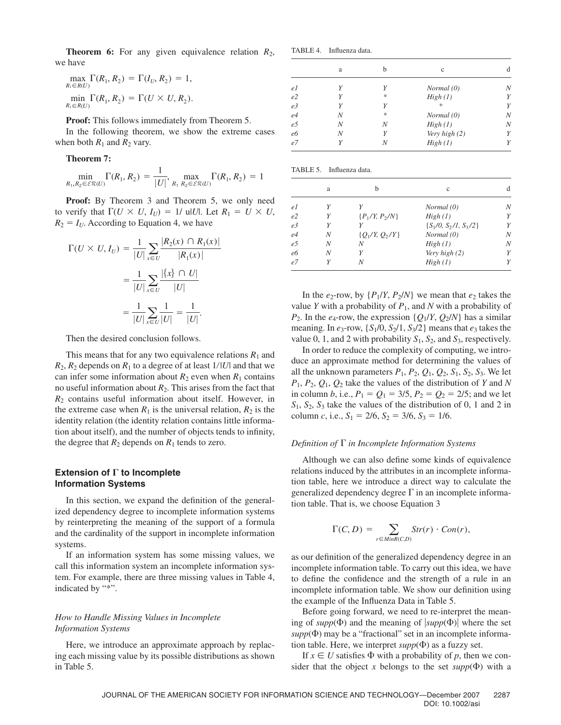**Theorem 6:** For any given equivalence relation  $R_2$ , we have

 $\min_{\mathbf{E} \in \mathbb{R}^m} \Gamma(R_1, R_2) = \Gamma(U \times U, R_2).$  $R_1 \in R(U)$  $\max_{\substack{R \in \mathbb{R} \\ R \neq 0}} \Gamma(R_1, R_2) = \Gamma(I_U, R_2) = 1,$  $R_1 \in R(U)$ 

**Proof:** This follows immediately from Theorem 5.

In the following theorem, we show the extreme cases when both  $R_1$  and  $R_2$  vary.

**Theorem 7:**

$$
\min_{R_1, R_2 \in \mathcal{ER}(U)} \Gamma(R_1, R_2) = \frac{1}{|U|}, \max_{R_1, R_2 \in \mathcal{ER}(U)} \Gamma(R_1, R_2) = 1
$$

**Proof:** By Theorem 3 and Theorem 5, we only need to verify that  $\Gamma(U \times U, I_U) = 1/\text{ul }U$ . Let  $R_1 = U \times U$ ,  $R_2 = I_U$ . According to Equation 4, we have

$$
\Gamma(U \times U, I_U) = \frac{1}{|U|} \sum_{x \in U} \frac{|R_2(x) \cap R_1(x)|}{|R_1(x)|}
$$

$$
= \frac{1}{|U|} \sum_{x \in U} \frac{|\{x\} \cap U|}{|U|}
$$

$$
= \frac{1}{|U|} \sum_{x \in U} \frac{1}{|U|} = \frac{1}{|U|}.
$$

Then the desired conclusion follows.

This means that for any two equivalence relations  $R_1$  and  $R_2$ ,  $R_2$  depends on  $R_1$  to a degree of at least  $1/|U|$  and that we can infer some information about  $R_2$  even when  $R_1$  contains no useful information about  $R_2$ . This arises from the fact that *R*<sup>2</sup> contains useful information about itself. However, in the extreme case when  $R_1$  is the universal relation,  $R_2$  is the identity relation (the identity relation contains little information about itself), and the number of objects tends to infinity, the degree that  $R_2$  depends on  $R_1$  tends to zero.

# **Extension of**  $\Gamma$  **to Incomplete Information Systems**

In this section, we expand the definition of the generalized dependency degree to incomplete information systems by reinterpreting the meaning of the support of a formula and the cardinality of the support in incomplete information systems.

If an information system has some missing values, we call this information system an incomplete information system. For example, there are three missing values in Table 4, indicated by "\*".

# *How to Handle Missing Values in Incomplete Information Systems*

Here, we introduce an approximate approach by replacing each missing value by its possible distributions as shown in Table 5.

TABLE 4. Influenza data.

|                | a | h | $\mathbf{c}$  | d |
|----------------|---|---|---------------|---|
| e 1            | V | Υ | Normal(0)     | Ν |
| e2             | V | * | High (1)      | Y |
| e <sub>3</sub> |   | V | $\ast$        | Y |
| e <sub>4</sub> | Ν | * | Normal(0)     | N |
| e <sub>5</sub> | Ν | Ν | High (1)      | N |
| eб             | N | V | Very high (2) | Y |
| e <sub>7</sub> |   | Ν | High (1)      | Υ |

| TABLE 5. | Influenza data. |  |
|----------|-----------------|--|
|----------|-----------------|--|

|                | a | h                  | $\mathbf c$               | d |
|----------------|---|--------------------|---------------------------|---|
| e 1            |   |                    | Normal(0)                 | N |
| e2             | Υ | $\{P_1/Y, P_2/N\}$ | High (1)                  | Y |
| e <sub>3</sub> |   |                    | $\{S_1/0, S_2/1, S_3/2\}$ | Y |
| e <sub>4</sub> | N | $\{Q_1/Y, Q_2/Y\}$ | Normal(0)                 | N |
| e5             | N | Ν                  | High (1)                  | N |
| еб             | N | V                  | Very high $(2)$           | Y |
| e <sub>7</sub> |   | N                  | High (1)                  | Υ |

In the  $e_2$ -row, by  $\{P_1/Y, P_2/N\}$  we mean that  $e_2$  takes the value *Y* with a probability of  $P_1$ , and *N* with a probability of  $P_2$ . In the *e*<sub>4</sub>-row, the expression { $Q_1/Y$ ,  $Q_2/N$ } has a similar meaning. In  $e_3$ -row,  $\{S_1/0, S_2/1, S_3/2\}$  means that  $e_3$  takes the value 0, 1, and 2 with probability  $S_1$ ,  $S_2$ , and  $S_3$ , respectively.

In order to reduce the complexity of computing, we introduce an approximate method for determining the values of all the unknown parameters  $P_1$ ,  $P_2$ ,  $Q_1$ ,  $Q_2$ ,  $S_1$ ,  $S_2$ ,  $S_3$ . We let  $P_1$ ,  $P_2$ ,  $Q_1$ ,  $Q_2$  take the values of the distribution of *Y* and *N* in column *b*, i.e.,  $P_1 = Q_1 = 3/5$ ,  $P_2 = Q_2 = 2/5$ ; and we let  $S_1$ ,  $S_2$ ,  $S_3$  take the values of the distribution of 0, 1 and 2 in column *c*, i.e.,  $S_1 = 2/6$ ,  $S_2 = 3/6$ ,  $S_3 = 1/6$ .

#### *Definition of in Incomplete Information Systems*

Although we can also define some kinds of equivalence relations induced by the attributes in an incomplete information table, here we introduce a direct way to calculate the generalized dependency degree  $\Gamma$  in an incomplete information table. That is, we choose Equation 3

$$
\Gamma(C, D) = \sum_{r \in MinR(C, D)} Str(r) \cdot Con(r),
$$

as our definition of the generalized dependency degree in an incomplete information table. To carry out this idea, we have to define the confidence and the strength of a rule in an incomplete information table. We show our definition using the example of the Influenza Data in Table 5.

Before going forward, we need to re-interpret the meaning of  $supp(\Phi)$  and the meaning of  $|supp(\Phi)|$  where the set  $supp(\Phi)$  may be a "fractional" set in an incomplete information table. Here, we interpret  $supp(\Phi)$  as a fuzzy set.

If  $x \in U$  satisfies  $\Phi$  with a probability of p, then we consider that the object x belongs to the set  $supp(\Phi)$  with a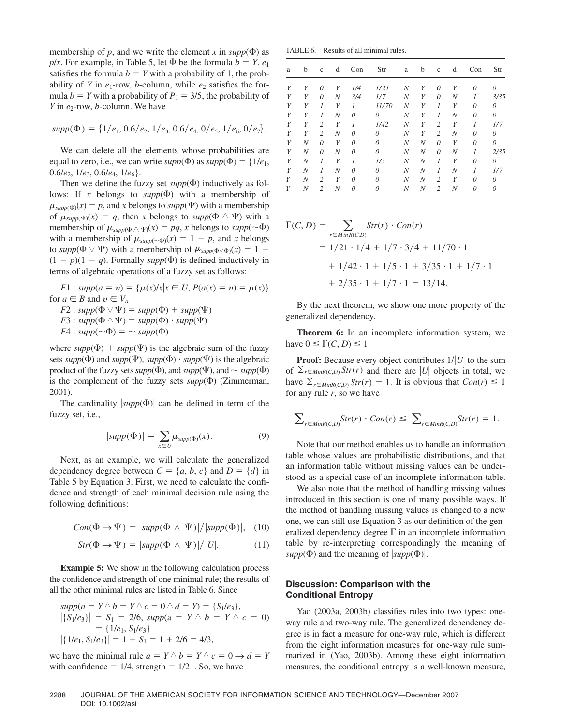membership of  $p$ , and we write the element  $x$  in  $supp(\Phi)$  as *p/x*. For example, in Table 5, let  $\Phi$  be the formula  $b = Y$ .  $e_1$ satisfies the formula  $b = Y$  with a probability of 1, the probability of *Y* in  $e_1$ -row, *b*-column, while  $e_2$  satisfies the formula  $b = Y$  with a probability of  $P_1 = 3/5$ , the probability of *Y* in *e*<sub>2</sub>-row, *b*-column. We have

$$
supp(\Phi) = \{1/e_1, 0.6/e_2, 1/e_3, 0.6/e_4, 0/e_5, 1/e_6, 0/e_7\}.
$$

We can delete all the elements whose probabilities are equal to zero, i.e., we can write  $supp(\Phi)$  as  $supp(\Phi) = \{1/e_1,$ 0.6/*e*2, 1/*e*3, 0.6/*e*4, 1/*e*6}.

Then we define the fuzzy set  $supp(\Phi)$  inductively as follows: If *x* belongs to  $supp(\Phi)$  with a membership of  $\mu_{supp(\Phi)}(x) = p$ , and *x* belongs to *supp*( $\Psi$ ) with a membership of  $\mu_{\text{supp}(\Psi)}(x) = q$ , then *x* belongs to  $\text{supp}(\Phi \wedge \Psi)$  with a membership of  $\mu_{supp(\Phi \land \Psi)}(x) = pq$ , *x* belongs to  $supp(\sim \Phi)$ with a membership of  $\mu_{supp(\sim \Phi)}(x) = 1 - p$ , and *x* belongs to  $supp(\Phi \vee \Psi)$  with a membership of  $\mu_{supp(\Phi \vee \Phi)}(x) = 1 (1 - p)(1 - q)$ . Formally *supp*( $\Phi$ ) is defined inductively in terms of algebraic operations of a fuzzy set as follows:

$$
F1: supp(a = v) = \{\mu(x)/x | x \in U, P(a(x) = v) = \mu(x)\}\
$$
  
for  $a \in B$  and  $v \in V_a$   

$$
F2: supp(\Phi \vee \Psi) = supp(\Phi) + supp(\Psi)
$$
  

$$
F3: supp(\Phi \wedge \Psi) = supp(\Phi) \cdot supp(\Psi)
$$
  

$$
F4: supp(\sim \Phi) = \sim supp(\Phi)
$$

where  $supp(\Phi) + supp(\Psi)$  is the algebraic sum of the fuzzy sets  $supp(\Phi)$  and  $supp(\Psi)$ ,  $supp(\Phi) \cdot supp(\Psi)$  is the algebraic product of the fuzzy sets  $supp(\Phi)$ , and  $supp(\Psi)$ , and  $\sim supp(\Phi)$ is the complement of the fuzzy sets  $supp(\Phi)$  (Zimmerman, 2001).

The cardinality  $|supp(\Phi)|$  can be defined in term of the fuzzy set, i.e.,

$$
|supp(\Phi)| = \sum_{x \in U} \mu_{supp(\Phi)}(x). \tag{9}
$$

Next, as an example, we will calculate the generalized dependency degree between  $C = \{a, b, c\}$  and  $D = \{d\}$  in Table 5 by Equation 3. First, we need to calculate the confidence and strength of each minimal decision rule using the following definitions:

$$
Con(\Phi \to \Psi) = |supp(\Phi \land \Psi)| / |supp(\Phi)|, \quad (10)
$$

$$
Str(\Phi \to \Psi) = |supp(\Phi \land \Psi)|/|U|.
$$
 (11)

**Example 5:** We show in the following calculation process the confidence and strength of one minimal rule; the results of all the other minimal rules are listed in Table 6. Since

$$
supp(a = Y \land b = Y \land c = 0 \land d = Y) = \{S_1/e_3\},
$$
  
\n
$$
|\{S_1/e_3\}| = S_1 = 2/6, supp(a = Y \land b = Y \land c = 0)
$$
  
\n
$$
= \{1/e_1, S_1/e_3\}
$$
  
\n
$$
|\{1/e_1, S_1/e_3\}| = 1 + S_1 = 1 + 2/6 = 4/3,
$$

we have the minimal rule  $a = Y \wedge b = Y \wedge c = 0 \rightarrow d = Y$ with confidence  $= 1/4$ , strength  $= 1/21$ . So, we have

TABLE 6. Results of all minimal rules.

| a | b | $\mathbf{C}$   | d | Con      | Str      | a                | b | $\mathbf{c}$   | d | Con      | Str      |
|---|---|----------------|---|----------|----------|------------------|---|----------------|---|----------|----------|
| Y | Y | $\theta$       | Y | 1/4      | 1/21     | $\boldsymbol{N}$ | Υ | 0              | Υ | $\theta$ | $\theta$ |
| Y | Y | $\theta$       | N | 3/4      | 1/7      | N                | Υ | 0              | N | 1        | 3/35     |
| Y | Υ | 1              | Υ |          | 11/70    | N                | Υ | 1              | Y | 0        | $\Omega$ |
| Y | Y | 1              | Ν | 0        | 0        | Ν                | Υ | 1              | N | 0        | $\theta$ |
| Y | Y | $\overline{c}$ | Υ |          | 1/42     | N                | Υ | $\overline{c}$ | Υ | 1        | 1/7      |
| Y | Y | $\overline{c}$ | Ν | $\theta$ | 0        | N                | Y | $\mathfrak{D}$ | N | $\Omega$ | $\Omega$ |
| Y | N | $\theta$       | Y | 0        | 0        | N                | N | 0              | Y | 0        | $\theta$ |
| Y | N | $\theta$       | Ν | $\theta$ | 0        | N                | N | 0              | N | 1        | 2/35     |
| Y | N | 1              | Y |          | 1/5      | N                | N | 1              | Y | $\theta$ | $\theta$ |
| Y | N | 1              | Ν | $\theta$ | 0        | N                | N | 1              | N |          | 1/7      |
| Y | N | $\overline{c}$ | Y | 0        | $\theta$ | N                | N | $\overline{c}$ | Υ | $\theta$ | $\theta$ |
| Y | Ν | $\overline{c}$ | Ν | 0        | 0        | Ν                | Ν | $\overline{c}$ | Ν | 0        | $\theta$ |

$$
\Gamma(C, D) = \sum_{r \in MinR(C, D)} Str(r) \cdot Con(r)
$$
  
= 1/21 \cdot 1/4 + 1/7 \cdot 3/4 + 11/70 \cdot 1  
+ 1/42 \cdot 1 + 1/5 \cdot 1 + 3/35 \cdot 1 + 1/7 \cdot 1  
+ 2/35 \cdot 1 + 1/7 \cdot 1 = 13/14.

By the next theorem, we show one more property of the generalized dependency.

**Theorem 6:** In an incomplete information system, we have  $0 \leq \Gamma(C, D) \leq 1$ .

**Proof:** Because every object contributes  $1/|U|$  to the sum of  $\Sigma_{r \in MinR(C,D)}$  *Str(r)* and there are |*U*| objects in total, we have  $\sum_{r \in \text{MinR}(C,D)} \text{Str}(r) = 1$ . It is obvious that  $\text{Con}(r) \leq 1$ for any rule *r*, so we have

$$
\sum\nolimits_{r \in MinR(C,D)} Str(r) \cdot Con(r) \leq \sum\nolimits_{r \in MinR(C,D)} Str(r) = 1.
$$

Note that our method enables us to handle an information table whose values are probabilistic distributions, and that an information table without missing values can be understood as a special case of an incomplete information table.

We also note that the method of handling missing values introduced in this section is one of many possible ways. If the method of handling missing values is changed to a new one, we can still use Equation 3 as our definition of the generalized dependency degree  $\Gamma$  in an incomplete information table by re-interpreting correspondingly the meaning of *supp*( $\Phi$ ) and the meaning of *supp*( $\Phi$ ).

# **Discussion: Comparison with the Conditional Entropy**

Yao (2003a, 2003b) classifies rules into two types: oneway rule and two-way rule. The generalized dependency degree is in fact a measure for one-way rule, which is different from the eight information measures for one-way rule summarized in (Yao, 2003b). Among these eight information measures, the conditional entropy is a well-known measure,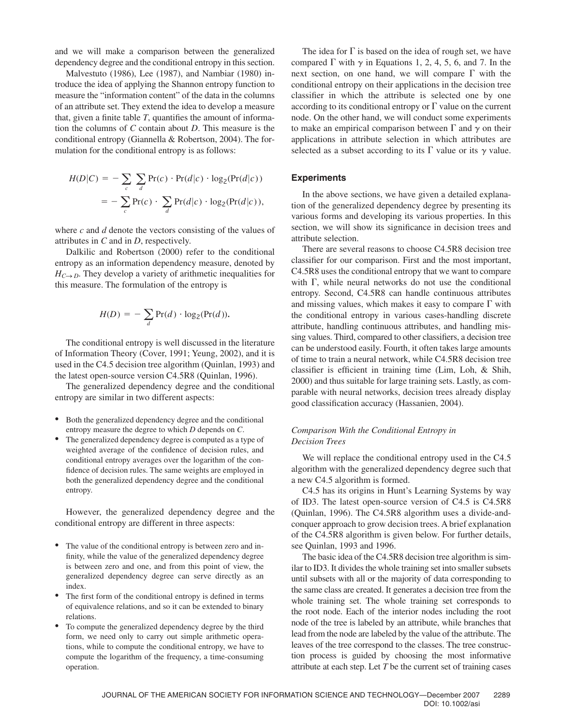and we will make a comparison between the generalized dependency degree and the conditional entropy in this section.

Malvestuto (1986), Lee (1987), and Nambiar (1980) introduce the idea of applying the Shannon entropy function to measure the "information content" of the data in the columns of an attribute set. They extend the idea to develop a measure that, given a finite table *T*, quantifies the amount of information the columns of *C* contain about *D*. This measure is the conditional entropy (Giannella & Robertson, 2004). The formulation for the conditional entropy is as follows:

$$
H(D|C) = -\sum_{c} \sum_{d} \Pr(c) \cdot \Pr(d|c) \cdot \log_2(\Pr(d|c))
$$
  
= 
$$
-\sum_{c} \Pr(c) \cdot \sum_{d} \Pr(d|c) \cdot \log_2(\Pr(d|c)),
$$

where *c* and *d* denote the vectors consisting of the values of attributes in *C* and in *D*, respectively.

Dalkilic and Robertson (2000) refer to the conditional entropy as an information dependency measure, denoted by  $H_{C\rightarrow D}$ . They develop a variety of arithmetic inequalities for this measure. The formulation of the entropy is

$$
H(D) = -\sum_{d} \Pr(d) \cdot \log_2(\Pr(d)).
$$

The conditional entropy is well discussed in the literature of Information Theory (Cover, 1991; Yeung, 2002), and it is used in the C4.5 decision tree algorithm (Quinlan, 1993) and the latest open-source version C4.5R8 (Quinlan, 1996).

The generalized dependency degree and the conditional entropy are similar in two different aspects:

- Both the generalized dependency degree and the conditional entropy measure the degree to which *D* depends on *C*.
- The generalized dependency degree is computed as a type of weighted average of the confidence of decision rules, and conditional entropy averages over the logarithm of the confidence of decision rules. The same weights are employed in both the generalized dependency degree and the conditional entropy.

However, the generalized dependency degree and the conditional entropy are different in three aspects:

- The value of the conditional entropy is between zero and infinity, while the value of the generalized dependency degree is between zero and one, and from this point of view, the generalized dependency degree can serve directly as an index.
- The first form of the conditional entropy is defined in terms of equivalence relations, and so it can be extended to binary relations.
- To compute the generalized dependency degree by the third form, we need only to carry out simple arithmetic operations, while to compute the conditional entropy, we have to compute the logarithm of the frequency, a time-consuming operation.

The idea for  $\Gamma$  is based on the idea of rough set, we have compared  $\Gamma$  with  $\gamma$  in Equations 1, 2, 4, 5, 6, and 7. In the next section, on one hand, we will compare  $\Gamma$  with the conditional entropy on their applications in the decision tree classifier in which the attribute is selected one by one according to its conditional entropy or  $\Gamma$  value on the current node. On the other hand, we will conduct some experiments to make an empirical comparison between  $\Gamma$  and  $\gamma$  on their applications in attribute selection in which attributes are selected as a subset according to its  $\Gamma$  value or its  $\gamma$  value.

# **Experiments**

In the above sections, we have given a detailed explanation of the generalized dependency degree by presenting its various forms and developing its various properties. In this section, we will show its significance in decision trees and attribute selection.

There are several reasons to choose C4.5R8 decision tree classifier for our comparison. First and the most important, C4.5R8 uses the conditional entropy that we want to compare with  $\Gamma$ , while neural networks do not use the conditional entropy. Second, C4.5R8 can handle continuous attributes and missing values, which makes it easy to compare  $\Gamma$  with the conditional entropy in various cases-handling discrete attribute, handling continuous attributes, and handling missing values. Third, compared to other classifiers, a decision tree can be understood easily. Fourth, it often takes large amounts of time to train a neural network, while C4.5R8 decision tree classifier is efficient in training time (Lim, Loh, & Shih, 2000) and thus suitable for large training sets. Lastly, as comparable with neural networks, decision trees already display good classification accuracy (Hassanien, 2004).

# *Comparison With the Conditional Entropy in Decision Trees*

We will replace the conditional entropy used in the C4.5 algorithm with the generalized dependency degree such that a new C4.5 algorithm is formed.

C4.5 has its origins in Hunt's Learning Systems by way of ID3. The latest open-source version of C4.5 is C4.5R8 (Quinlan, 1996). The C4.5R8 algorithm uses a divide-andconquer approach to grow decision trees. A brief explanation of the C4.5R8 algorithm is given below. For further details, see Quinlan, 1993 and 1996.

The basic idea of the C4.5R8 decision tree algorithm is similar to ID3. It divides the whole training set into smaller subsets until subsets with all or the majority of data corresponding to the same class are created. It generates a decision tree from the whole training set. The whole training set corresponds to the root node. Each of the interior nodes including the root node of the tree is labeled by an attribute, while branches that lead from the node are labeled by the value of the attribute. The leaves of the tree correspond to the classes. The tree construction process is guided by choosing the most informative attribute at each step. Let *T* be the current set of training cases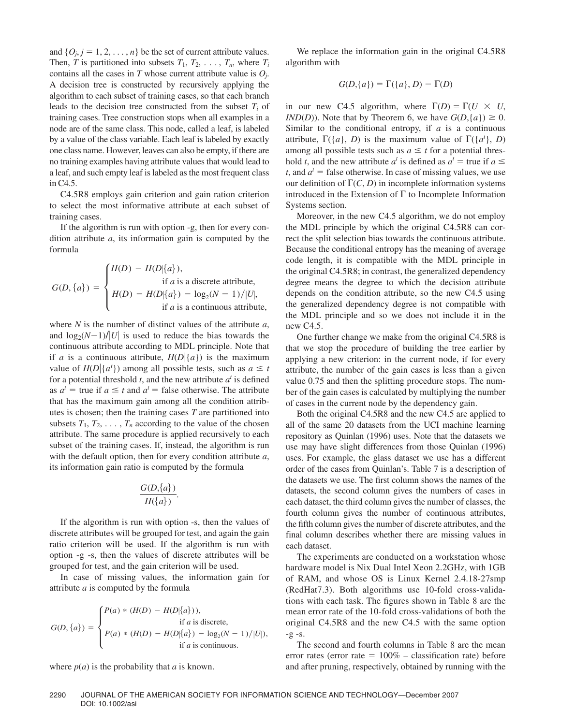and  $\{O_i, j = 1, 2, \ldots, n\}$  be the set of current attribute values. Then, *T* is partitioned into subsets  $T_1, T_2, \ldots, T_n$ , where  $T_i$ contains all the cases in *T* whose current attribute value is *Oj*. A decision tree is constructed by recursively applying the algorithm to each subset of training cases, so that each branch leads to the decision tree constructed from the subset  $T_i$  of training cases. Tree construction stops when all examples in a node are of the same class. This node, called a leaf, is labeled by a value of the class variable. Each leaf is labeled by exactly one class name. However, leaves can also be empty, if there are no training examples having attribute values that would lead to a leaf, and such empty leaf is labeled as the most frequent class in C4.5.

C4.5R8 employs gain criterion and gain ration criterion to select the most informative attribute at each subset of training cases.

If the algorithm is run with option -g, then for every condition attribute *a*, its information gain is computed by the formula

$$
G(D, \{a\}) = \begin{cases} H(D) - H(D|\{a\}), \\ \text{if } a \text{ is a discrete attribute,} \\ H(D) - H(D|\{a\}) - \log_2(N-1)/|U|, \\ \text{if } a \text{ is a continuous attribute,} \end{cases}
$$

where *N* is the number of distinct values of the attribute *a*, and  $log_2(N-1)/|U|$  is used to reduce the bias towards the continuous attribute according to MDL principle. Note that if *a* is a continuous attribute,  $H(D|\{a\})$  is the maximum value of  $H(D|\{a^t\})$  among all possible tests, such as  $a \leq t$ for a potential threshold *t*, and the new attribute  $a^t$  is defined as  $a^t$  = true if  $a \leq t$  and  $a^t$  = false otherwise. The attribute that has the maximum gain among all the condition attributes is chosen; then the training cases *T* are partitioned into subsets  $T_1, T_2, \ldots, T_n$  according to the value of the chosen attribute. The same procedure is applied recursively to each subset of the training cases. If, instead, the algorithm is run with the default option, then for every condition attribute *a*, its information gain ratio is computed by the formula

$$
\frac{G(D,\lbrace a \rbrace)}{H(\lbrace a \rbrace)}.
$$

If the algorithm is run with option -s, then the values of discrete attributes will be grouped for test, and again the gain ratio criterion will be used. If the algorithm is run with option -g -s, then the values of discrete attributes will be grouped for test, and the gain criterion will be used.

In case of missing values, the information gain for attribute *a* is computed by the formula

$$
G(D, \{a\}) = \begin{cases} P(a) * (H(D) - H(D|\{a\})), & \text{if } a \text{ is discrete,} \\ P(a) * (H(D) - H(D|\{a\}) - \log_2(N-1)/|U|), & \text{if } a \text{ is continuous.} \end{cases}
$$

where  $p(a)$  is the probability that  $a$  is known.

We replace the information gain in the original C4.5R8 algorithm with

$$
G(D,\lbrace a \rbrace) = \Gamma(\lbrace a \rbrace, D) - \Gamma(D)
$$

in our new C4.5 algorithm, where  $\Gamma(D) = \Gamma(U \times U,$ *IND*(*D*)). Note that by Theorem 6, we have  $G(D, \{a\}) \geq 0$ . Similar to the conditional entropy, if *a* is a continuous attribute,  $\Gamma({a}, D)$  is the maximum value of  $\Gamma({a}, D)$ among all possible tests such as  $a \leq t$  for a potential threshold *t*, and the new attribute  $a^t$  is defined as  $a^t$  = true if  $a \leq$ *t*, and  $a^t$  = false otherwise. In case of missing values, we use our definition of  $\Gamma(C, D)$  in incomplete information systems introduced in the Extension of  $\Gamma$  to Incomplete Information Systems section.

Moreover, in the new C4.5 algorithm, we do not employ the MDL principle by which the original C4.5R8 can correct the split selection bias towards the continuous attribute. Because the conditional entropy has the meaning of average code length, it is compatible with the MDL principle in the original C4.5R8; in contrast, the generalized dependency degree means the degree to which the decision attribute depends on the condition attribute, so the new C4.5 using the generalized dependency degree is not compatible with the MDL principle and so we does not include it in the new C4.5.

One further change we make from the original C4.5R8 is that we stop the procedure of building the tree earlier by applying a new criterion: in the current node, if for every attribute, the number of the gain cases is less than a given value 0.75 and then the splitting procedure stops. The number of the gain cases is calculated by multiplying the number of cases in the current node by the dependency gain.

Both the original C4.5R8 and the new C4.5 are applied to all of the same 20 datasets from the UCI machine learning repository as Quinlan (1996) uses. Note that the datasets we use may have slight differences from those Quinlan (1996) uses. For example, the glass dataset we use has a different order of the cases from Quinlan's. Table 7 is a description of the datasets we use. The first column shows the names of the datasets, the second column gives the numbers of cases in each dataset, the third column gives the number of classes, the fourth column gives the number of continuous attributes, the fifth column gives the number of discrete attributes, and the final column describes whether there are missing values in each dataset.

The experiments are conducted on a workstation whose hardware model is Nix Dual Intel Xeon 2.2GHz, with 1GB of RAM, and whose OS is Linux Kernel 2.4.18-27smp (RedHat7.3). Both algorithms use 10-fold cross-validations with each task. The figures shown in Table 8 are the mean error rate of the 10-fold cross-validations of both the original C4.5R8 and the new C4.5 with the same option -g -s.

The second and fourth columns in Table 8 are the mean error rates (error rate  $= 100\% -$  classification rate) before and after pruning, respectively, obtained by running with the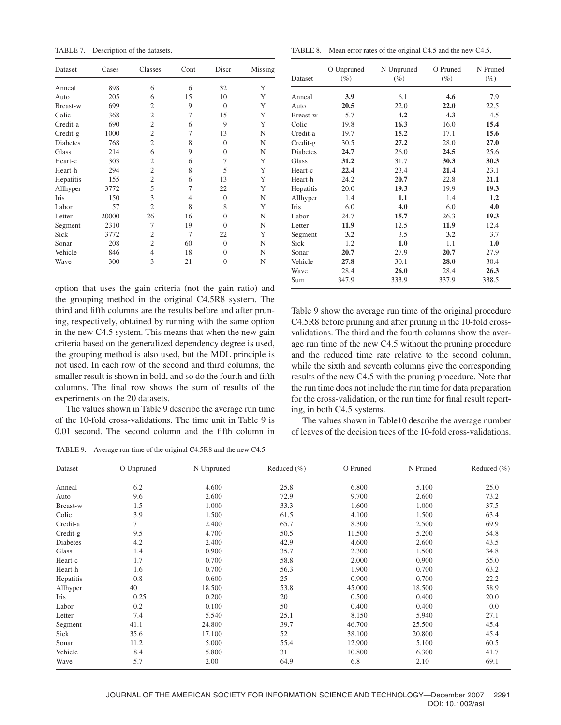TABLE 7. Description of the datasets.

| Dataset         | Cases | Classes        | Cont | Discr        | Missing |
|-----------------|-------|----------------|------|--------------|---------|
| Anneal          | 898   | 6              | 6    | 32           | Y       |
| Auto            | 205   | 6              | 15   | 10           | Y       |
| Breast-w        | 699   | $\overline{2}$ | 9    | $\mathbf{0}$ | Y       |
| Colic           | 368   | $\overline{2}$ | 7    | 15           | Y       |
| Credit-a        | 690   | $\overline{2}$ | 6    | 9            | Y       |
| $Credit-g$      | 1000  | $\overline{2}$ | 7    | 13           | N       |
| <b>Diabetes</b> | 768   | $\overline{2}$ | 8    | $\Omega$     | N       |
| Glass           | 214   | 6              | 9    | $\Omega$     | N       |
| Heart-c         | 303   | $\overline{2}$ | 6    | 7            | Y       |
| Heart-h         | 294   | $\overline{2}$ | 8    | 5            | Y       |
| Hepatitis       | 155   | $\overline{2}$ | 6    | 13           | Y       |
| Allhyper        | 3772  | 5              | 7    | 22           | Y       |
| <b>Iris</b>     | 150   | 3              | 4    | $\Omega$     | N       |
| Labor           | 57    | $\overline{2}$ | 8    | 8            | Y       |
| Letter          | 20000 | 26             | 16   | $\Omega$     | N       |
| Segment         | 2310  | 7              | 19   | $\Omega$     | N       |
| Sick            | 3772  | $\overline{2}$ | 7    | 22           | Y       |
| Sonar           | 208   | $\overline{2}$ | 60   | $\Omega$     | N       |
| Vehicle         | 846   | 4              | 18   | $\Omega$     | N       |
| Wave            | 300   | 3              | 21   | $\Omega$     | N       |

option that uses the gain criteria (not the gain ratio) and the grouping method in the original C4.5R8 system. The third and fifth columns are the results before and after pruning, respectively, obtained by running with the same option in the new C4.5 system. This means that when the new gain criteria based on the generalized dependency degree is used, the grouping method is also used, but the MDL principle is not used. In each row of the second and third columns, the smaller result is shown in bold, and so do the fourth and fifth columns. The final row shows the sum of results of the experiments on the 20 datasets.

The values shown in Table 9 describe the average run time of the 10-fold cross-validations. The time unit in Table 9 is 0.01 second. The second column and the fifth column in

TABLE 8. Mean error rates of the original C4.5 and the new C4.5.

| Dataset         | O Unpruned<br>$(\%)$ | N Unpruned<br>$(\%)$ | O Pruned<br>$(\%)$ | N Pruned<br>$(\%)$ |
|-----------------|----------------------|----------------------|--------------------|--------------------|
| Anneal          | 3.9                  | 6.1                  | 4.6                | 7.9                |
| Auto            | 20.5                 | 22.0                 | 22.0               | 22.5               |
| Breast-w        | 5.7                  | 4.2                  | 4.3                | 4.5                |
| Colic           | 19.8                 | 16.3                 | 16.0               | 15.4               |
| Credit-a        | 19.7                 | 15.2                 | 17.1               | 15.6               |
| $Credit-g$      | 30.5                 | 27.2                 | 28.0               | 27.0               |
| <b>Diabetes</b> | 24.7                 | 26.0                 | 24.5               | 25.6               |
| Glass           | 31.2                 | 31.7                 | 30.3               | 30.3               |
| Heart-c         | 22.4                 | 23.4                 | 21.4               | 23.1               |
| Heart-h         | 24.2                 | 20.7                 | 22.8               | 21.1               |
| Hepatitis       | 20.0                 | 19.3                 | 19.9               | 19.3               |
| Allhyper        | 1.4                  | 1.1                  | 1.4                | 1.2                |
| <b>Iris</b>     | 6.0                  | 4.0                  | 6.0                | 4.0                |
| Labor           | 24.7                 | 15.7                 | 26.3               | 19.3               |
| Letter          | 11.9                 | 12.5                 | 11.9               | 12.4               |
| Segment         | 3.2                  | 3.5                  | 3.2                | 3.7                |
| Sick            | 1.2                  | 1.0                  | 1.1                | 1.0                |
| Sonar           | 20.7                 | 27.9                 | 20.7               | 27.9               |
| Vehicle         | 27.8                 | 30.1                 | 28.0               | 30.4               |
| Wave            | 28.4                 | 26.0                 | 28.4               | 26.3               |
| Sum             | 347.9                | 333.9                | 337.9              | 338.5              |

Table 9 show the average run time of the original procedure C4.5R8 before pruning and after pruning in the 10-fold crossvalidations. The third and the fourth columns show the average run time of the new C4.5 without the pruning procedure and the reduced time rate relative to the second column, while the sixth and seventh columns give the corresponding results of the new C4.5 with the pruning procedure. Note that the run time does not include the run time for data preparation for the cross-validation, or the run time for final result reporting, in both C4.5 systems.

The values shown in Table10 describe the average number of leaves of the decision trees of the 10-fold cross-validations.

| Dataset   | O Unpruned | N Unpruned | Reduced (%) | O Pruned | N Pruned | Reduced (%) |
|-----------|------------|------------|-------------|----------|----------|-------------|
| Anneal    | 6.2        | 4.600      | 25.8        | 6.800    | 5.100    | 25.0        |
| Auto      | 9.6        | 2.600      | 72.9        | 9.700    | 2.600    | 73.2        |
| Breast-w  | 1.5        | 1.000      | 33.3        | 1.600    | 1.000    | 37.5        |
| Colic     | 3.9        | 1.500      | 61.5        | 4.100    | 1.500    | 63.4        |
| Credit-a  | 7          | 2.400      | 65.7        | 8.300    | 2.500    | 69.9        |
| Credit-g  | 9.5        | 4.700      | 50.5        | 11.500   | 5.200    | 54.8        |
| Diabetes  | 4.2        | 2.400      | 42.9        | 4.600    | 2.600    | 43.5        |
| Glass     | 1.4        | 0.900      | 35.7        | 2.300    | 1.500    | 34.8        |
| Heart-c   | 1.7        | 0.700      | 58.8        | 2.000    | 0.900    | 55.0        |
| Heart-h   | 1.6        | 0.700      | 56.3        | 1.900    | 0.700    | 63.2        |
| Hepatitis | 0.8        | 0.600      | 25          | 0.900    | 0.700    | 22.2        |
| Allhyper  | 40         | 18.500     | 53.8        | 45.000   | 18.500   | 58.9        |
| Iris      | 0.25       | 0.200      | 20          | 0.500    | 0.400    | 20.0        |
| Labor     | 0.2        | 0.100      | 50          | 0.400    | 0.400    | 0.0         |
| Letter    | 7.4        | 5.540      | 25.1        | 8.150    | 5.940    | 27.1        |
| Segment   | 41.1       | 24.800     | 39.7        | 46.700   | 25.500   | 45.4        |
| Sick      | 35.6       | 17.100     | 52          | 38.100   | 20.800   | 45.4        |
| Sonar     | 11.2       | 5.000      | 55.4        | 12.900   | 5.100    | 60.5        |
| Vehicle   | 8.4        | 5.800      | 31          | 10.800   | 6.300    | 41.7        |
| Wave      | 5.7        | 2.00       | 64.9        | 6.8      | 2.10     | 69.1        |

TABLE 9. Average run time of the original C4.5R8 and the new C4.5.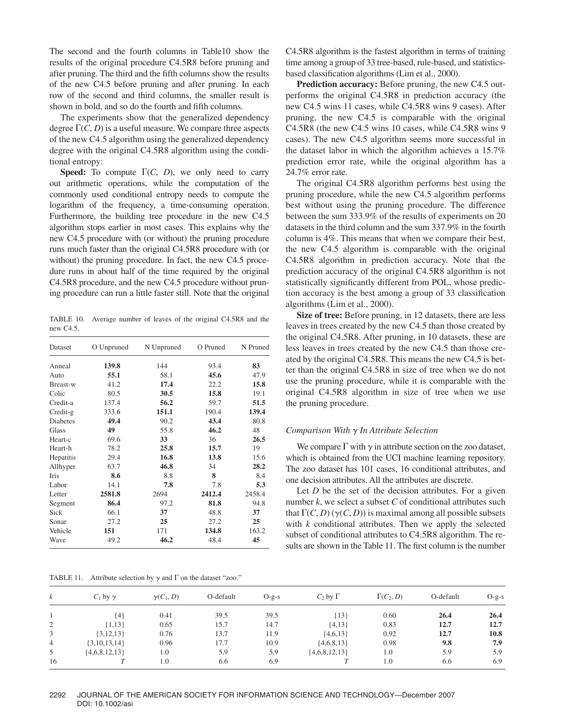The second and the fourth columns in Table10 show the results of the original procedure C4.5R8 before pruning and after pruning. The third and the fifth columns show the results of the new C4.5 before pruning and after pruning. In each row of the second and third columns, the smaller result is shown in bold, and so do the fourth and fifth columns.

The experiments show that the generalized dependency degree  $\Gamma(C, D)$  is a useful measure. We compare three aspects of the new C4.5 algorithm using the generalized dependency degree with the original C4.5R8 algorithm using the conditional entropy:

**Speed:** To compute  $\Gamma(C, D)$ , we only need to carry out arithmetic operations, while the computation of the commonly used conditional entropy needs to compute the logarithm of the frequency, a time-consuming operation. Furthermore, the building tree procedure in the new C4.5 algorithm stops earlier in most cases. This explains why the new C4.5 procedure with (or without) the pruning procedure runs much faster than the original C4.5R8 procedure with (or without) the pruning procedure. In fact, the new C4.5 procedure runs in about half of the time required by the original C4.5R8 procedure, and the new C4.5 procedure without pruning procedure can run a little faster still. Note that the original

TABLE 10. Average number of leaves of the original C4.5R8 and the new C4.5.

| Dataset    | O Unpruned | N Unpruned | O Pruned | N Pruned |  |
|------------|------------|------------|----------|----------|--|
| Anneal     | 139.8      | 144        | 93.4     | 83       |  |
| Auto       | 55.1       | 58.1       | 45.6     | 47.9     |  |
| Breast-w   | 41.2       | 17.4       | 22.2     | 15.8     |  |
| Colic      | 80.5       | 30.5       | 15.8     | 19.1     |  |
| Credit-a   | 137.4      | 56.2       | 59.7     | 51.5     |  |
| $Credit-g$ | 333.6      | 151.1      | 190.4    | 139.4    |  |
| Diabetes   | 49.4       | 90.2       | 43.4     | 80.8     |  |
| Glass      | 49         | 55.8       | 46.2     | 48       |  |
| Heart-c    | 69.6       | 33         | 36       | 26.5     |  |
| Heart-h    | 78.2       | 25.8       | 15.7     | 19       |  |
| Hepatitis  | 29.4       | 16.8       | 13.8     | 15.6     |  |
| Allhyper   | 63.7       | 46.8       | 34       | 28.2     |  |
| Iris       | 8.6        | 8.8        | 8        | 8.4      |  |
| Labor      | 14.1       | 7.8        | 7.8      | 5.3      |  |
| Letter     | 2581.8     | 2694       | 2412.4   | 2458.4   |  |
| Segment    | 86.4       | 97.2       | 81.8     | 94.8     |  |
| Sick       | 66.1       | 37         | 48.8     | 37       |  |
| Sonar      | 27.2       | 25         | 27.2     | 25       |  |
| Vehicle    | 151        | 171        | 134.8    | 163.2    |  |
| Wave       | 49.2       | 46.2       | 48.4     | 45       |  |

TABLE 11. Attribute selection by  $\gamma$  and  $\Gamma$  on the dataset "zoo."

C4.5R8 algorithm is the fastest algorithm in terms of training time among a group of 33 tree-based, rule-based, and statisticsbased classification algorithms (Lim et al., 2000).

**Prediction accuracy:** Before pruning, the new C4.5 outperforms the original C4.5R8 in prediction accuracy (the new C4.5 wins 11 cases, while C4.5R8 wins 9 cases). After pruning, the new C4.5 is comparable with the original C4.5R8 (the new C4.5 wins 10 cases, while C4.5R8 wins 9 cases). The new C4.5 algorithm seems more successful in the dataset labor in which the algorithm achieves a 15.7% prediction error rate, while the original algorithm has a 24.7% error rate.

The original C4.5R8 algorithm performs best using the pruning procedure, while the new C4.5 algorithm performs best without using the pruning procedure. The difference between the sum 333.9% of the results of experiments on 20 datasets in the third column and the sum 337.9% in the fourth column is 4%. This means that when we compare their best, the new C4.5 algorithm is comparable with the original C4.5R8 algorithm in prediction accuracy. Note that the prediction accuracy of the original C4.5R8 algorithm is not statistically significantly different from POL, whose prediction accuracy is the best among a group of 33 classification algorithms (Lim et al., 2000).

**Size of tree:** Before pruning, in 12 datasets, there are less leaves in trees created by the new C4.5 than those created by the original C4.5R8. After pruning, in 10 datasets, these are less leaves in trees created by the new C4.5 than those created by the original C4.5R8. This means the new C4.5 is better than the original C4.5R8 in size of tree when we do not use the pruning procedure, while it is comparable with the original C4.5R8 algorithm in size of tree when we use the pruning procedure.

### *Comparison With* g *In Attribute Selection*

We compare  $\Gamma$  with  $\gamma$  in attribute section on the zoo dataset, which is obtained from the UCI machine learning repository. The zoo dataset has 101 cases, 16 conditional attributes, and one decision attributes. All the attributes are discrete.

Let *D* be the set of the decision attributes. For a given number *k*, we select a subset *C* of conditional attributes such that  $\Gamma(C, D)$  ( $\gamma(C, D)$ ) is maximal among all possible subsets with *k* conditional attributes. Then we apply the selected subset of conditional attributes to C4.5R8 algorithm. The results are shown in the Table 11. The first column is the number

| $\boldsymbol{k}$ | $C_1$ by $\gamma$   | $\gamma(C_1, D)$ | O-default | $O-g-s$ | $C_2$ by $\Gamma$ | $\Gamma(C_2, D)$ | O-default | $O-g-s$ |
|------------------|---------------------|------------------|-----------|---------|-------------------|------------------|-----------|---------|
|                  | ${4}$               | 0.41             | 39.5      | 39.5    | ${13}$            | 0.60             | 26.4      | 26.4    |
| 2                | $\{1,13\}$          | 0.65             | 15.7      | 14.7    | ${4,13}$          | 0.83             | 12.7      | 12.7    |
| 3                | $\{3, 12, 13\}$     | 0.76             | 13.7      | 11.9    | ${4,6,13}$        | 0.92             | 12.7      | 10.8    |
| $\overline{4}$   | $\{3, 10, 13, 14\}$ | 0.96             | 17.7      | 10.9    | ${4,6,8,13}$      | 0.98             | 9.8       | 7.9     |
| 5                | ${4,6,8,12,13}$     | 1.0              | 5.9       | 5.9     | ${4,6,8,12,13}$   | 1.0              | 5.9       | 5.9     |
| 16               |                     | 1.0              | 6.6       | 6.9     |                   | 1.0              | 6.6       | 6.9     |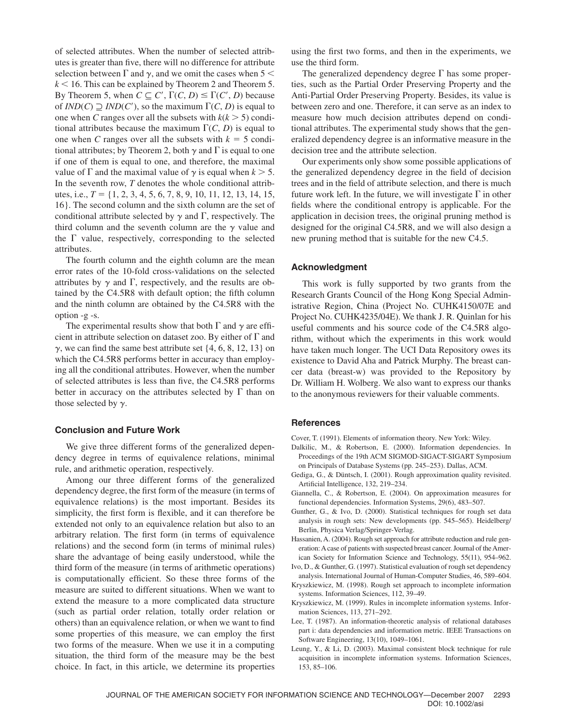of selected attributes. When the number of selected attributes is greater than five, there will no difference for attribute selection between  $\Gamma$  and  $\gamma$ , and we omit the cases when 5 <  $k < 16$ . This can be explained by Theorem 2 and Theorem 5. By Theorem 5, when  $C \subseteq C'$ ,  $\Gamma(C, D) \leq \Gamma(C', D)$  because of  $IND(C) \supseteq IND(C')$ , so the maximum  $\Gamma(C, D)$  is equal to one when *C* ranges over all the subsets with  $k(k > 5)$  conditional attributes because the maximum  $\Gamma(C, D)$  is equal to one when *C* ranges over all the subsets with  $k = 5$  conditional attributes; by Theorem 2, both  $\gamma$  and  $\Gamma$  is equal to one if one of them is equal to one, and therefore, the maximal value of  $\Gamma$  and the maximal value of  $\gamma$  is equal when  $k > 5$ . In the seventh row, *T* denotes the whole conditional attributes, i.e.,  $T = \{1, 2, 3, 4, 5, 6, 7, 8, 9, 10, 11, 12, 13, 14, 15,$ 16}. The second column and the sixth column are the set of conditional attribute selected by  $\gamma$  and  $\Gamma$ , respectively. The third column and the seventh column are the  $\gamma$  value and the  $\Gamma$  value, respectively, corresponding to the selected attributes.

The fourth column and the eighth column are the mean error rates of the 10-fold cross-validations on the selected attributes by  $\gamma$  and  $\Gamma$ , respectively, and the results are obtained by the C4.5R8 with default option; the fifth column and the ninth column are obtained by the C4.5R8 with the option -g -s.

The experimental results show that both  $\Gamma$  and  $\gamma$  are efficient in attribute selection on dataset zoo. By either of  $\Gamma$  and  $\gamma$ , we can find the same best attribute set {4, 6, 8, 12, 13} on which the C4.5R8 performs better in accuracy than employing all the conditional attributes. However, when the number of selected attributes is less than five, the C4.5R8 performs better in accuracy on the attributes selected by  $\Gamma$  than on those selected by  $\gamma$ .

# **Conclusion and Future Work**

We give three different forms of the generalized dependency degree in terms of equivalence relations, minimal rule, and arithmetic operation, respectively.

Among our three different forms of the generalized dependency degree, the first form of the measure (in terms of equivalence relations) is the most important. Besides its simplicity, the first form is flexible, and it can therefore be extended not only to an equivalence relation but also to an arbitrary relation. The first form (in terms of equivalence relations) and the second form (in terms of minimal rules) share the advantage of being easily understood, while the third form of the measure (in terms of arithmetic operations) is computationally efficient. So these three forms of the measure are suited to different situations. When we want to extend the measure to a more complicated data structure (such as partial order relation, totally order relation or others) than an equivalence relation, or when we want to find some properties of this measure, we can employ the first two forms of the measure. When we use it in a computing situation, the third form of the measure may be the best choice. In fact, in this article, we determine its properties

using the first two forms, and then in the experiments, we use the third form.

The generalized dependency degree  $\Gamma$  has some properties, such as the Partial Order Preserving Property and the Anti-Partial Order Preserving Property. Besides, its value is between zero and one. Therefore, it can serve as an index to measure how much decision attributes depend on conditional attributes. The experimental study shows that the generalized dependency degree is an informative measure in the decision tree and the attribute selection.

Our experiments only show some possible applications of the generalized dependency degree in the field of decision trees and in the field of attribute selection, and there is much future work left. In the future, we will investigate  $\Gamma$  in other fields where the conditional entropy is applicable. For the application in decision trees, the original pruning method is designed for the original C4.5R8, and we will also design a new pruning method that is suitable for the new C4.5.

#### **Acknowledgment**

This work is fully supported by two grants from the Research Grants Council of the Hong Kong Special Administrative Region, China (Project No. CUHK4150/07E and Project No. CUHK4235/04E). We thank J. R. Quinlan for his useful comments and his source code of the C4.5R8 algorithm, without which the experiments in this work would have taken much longer. The UCI Data Repository owes its existence to David Aha and Patrick Murphy. The breast cancer data (breast-w) was provided to the Repository by Dr. William H. Wolberg. We also want to express our thanks to the anonymous reviewers for their valuable comments.

#### **References**

- Cover, T. (1991). Elements of information theory. New York: Wiley.
- Dalkilic, M., & Robertson, E. (2000). Information dependencies. In Proceedings of the 19th ACM SIGMOD-SIGACT-SIGART Symposium on Principals of Database Systems (pp. 245–253). Dallas, ACM.
- Gediga, G., & Düntsch, I. (2001). Rough approximation quality revisited. Artificial Intelligence, 132, 219–234.
- Giannella, C., & Robertson, E. (2004). On approximation measures for functional dependencies. Information Systems, 29(6), 483–507.
- Gunther, G., & Ivo, D. (2000). Statistical techniques for rough set data analysis in rough sets: New developments (pp. 545–565). Heidelberg/ Berlin, Physica Verlag/Springer-Verlag.
- Hassanien, A. (2004). Rough set approach for attribute reduction and rule generation: Acase of patients with suspected breast cancer. Journal of the American Society for Information Science and Technology, 55(11), 954–962.
- Ivo, D., & Gunther, G. (1997). Statistical evaluation of rough set dependency analysis. International Journal of Human-Computer Studies, 46, 589–604.
- Kryszkiewicz, M. (1998). Rough set approach to incomplete information systems. Information Sciences, 112, 39–49.
- Kryszkiewicz, M. (1999). Rules in incomplete information systems. Information Sciences, 113, 271–292.
- Lee, T. (1987). An information-theoretic analysis of relational databases part i: data dependencies and information metric. IEEE Transactions on Software Engineering, 13(10), 1049–1061.
- Leung, Y., & Li, D. (2003). Maximal consistent block technique for rule acquisition in incomplete information systems. Information Sciences, 153, 85–106.